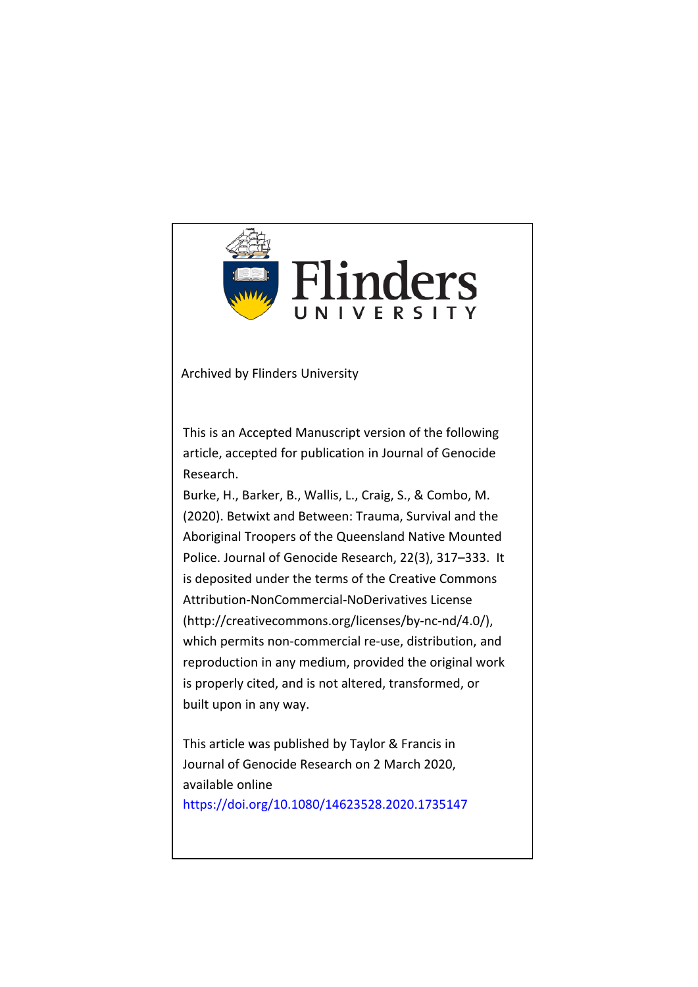

Archived by Flinders University

This is an Accepted Manuscript version of the following article, accepted for publication in Journal of Genocide Research.

Burke, H., Barker, B., Wallis, L., Craig, S., & Combo, M. (2020). Betwixt and Between: Trauma, Survival and the Aboriginal Troopers of the Queensland Native Mounted Police. Journal of Genocide Research, 22(3), 317–333. It is deposited under the terms of the Creative Commons Attribution-NonCommercial-NoDerivatives License (http://creativecommons.org/licenses/by-nc-nd/4.0/), which permits non-commercial re-use, distribution, and reproduction in any medium, provided the original work is properly cited, and is not altered, transformed, or built upon in any way.

This article was published by Taylor & Francis in Journal of Genocide Research on 2 March 2020, available online https://doi.org/[10.1080/14623528.2020.1735147](https://www.tandfonline.com/doi/full/10.1080/14623528.2020.1735147)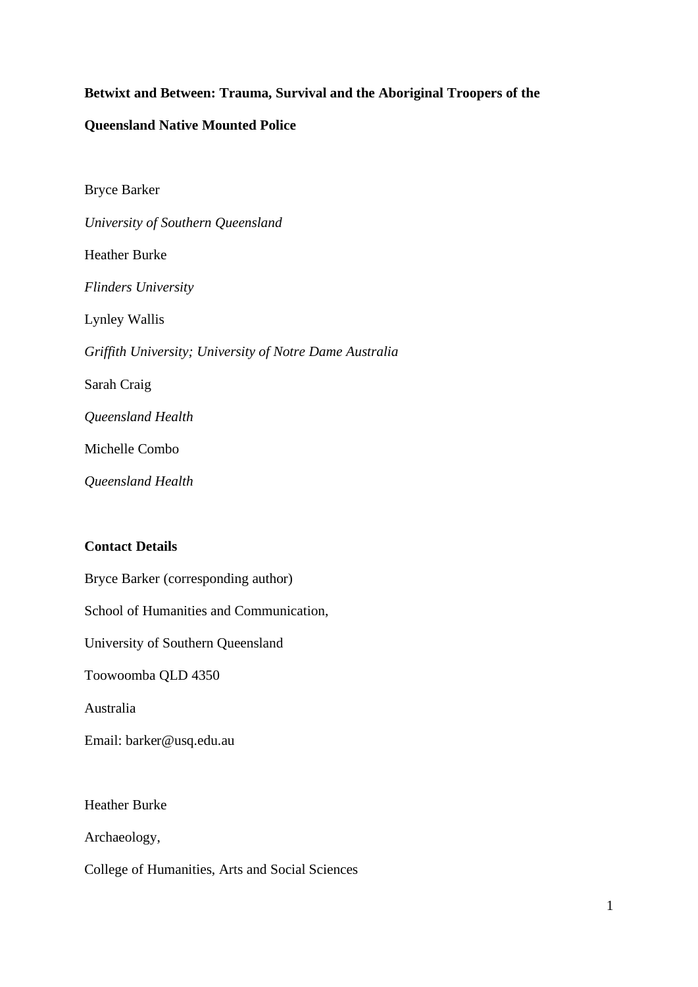## **Betwixt and Between: Trauma, Survival and the Aboriginal Troopers of the**

# **Queensland Native Mounted Police**

| <b>Bryce Barker</b>                                     |
|---------------------------------------------------------|
| University of Southern Queensland                       |
| Heather Burke                                           |
| <b>Flinders University</b>                              |
| Lynley Wallis                                           |
| Griffith University; University of Notre Dame Australia |
| Sarah Craig                                             |
| Queensland Health                                       |
| Michelle Combo                                          |
| Queensland Health                                       |

## **Contact Details**

Bryce Barker (corresponding author)

School of Humanities and Communication,

University of Southern Queensland

Toowoomba QLD 4350

Australia

Email: barker@usq.edu.au

# Heather Burke

Archaeology,

College of Humanities, Arts and Social Sciences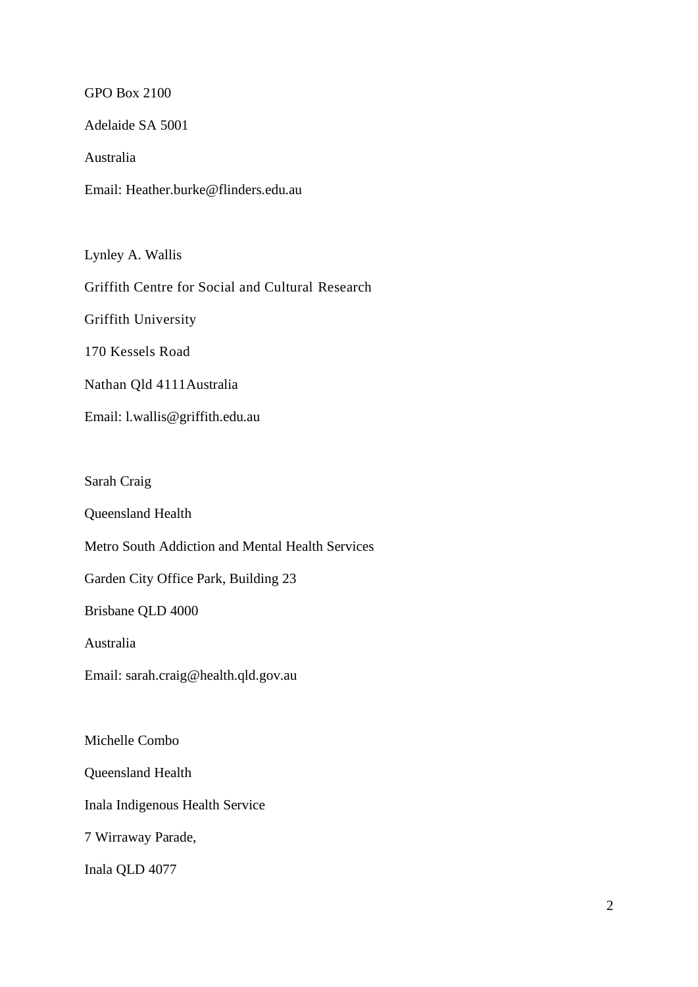## GPO Box 2100

Adelaide SA 5001

Australia

Email: Heather.burke@flinders.edu.au

Lynley A. Wallis Griffith Centre for Social and Cultural Research Griffith University 170 Kessels Road Nathan Qld 4111Australia Email: l.wallis@griffith.edu.au

Sarah Craig

Queensland Health

Metro South Addiction and Mental Health Services

Garden City Office Park, Building 23

Brisbane QLD 4000

Australia

Email: [sarah.craig@health.qld.gov.au](mailto:sarah.craig@health.qld.gov.au)

Michelle Combo

Queensland Health

Inala Indigenous Health Service

7 Wirraway Parade,

Inala QLD 4077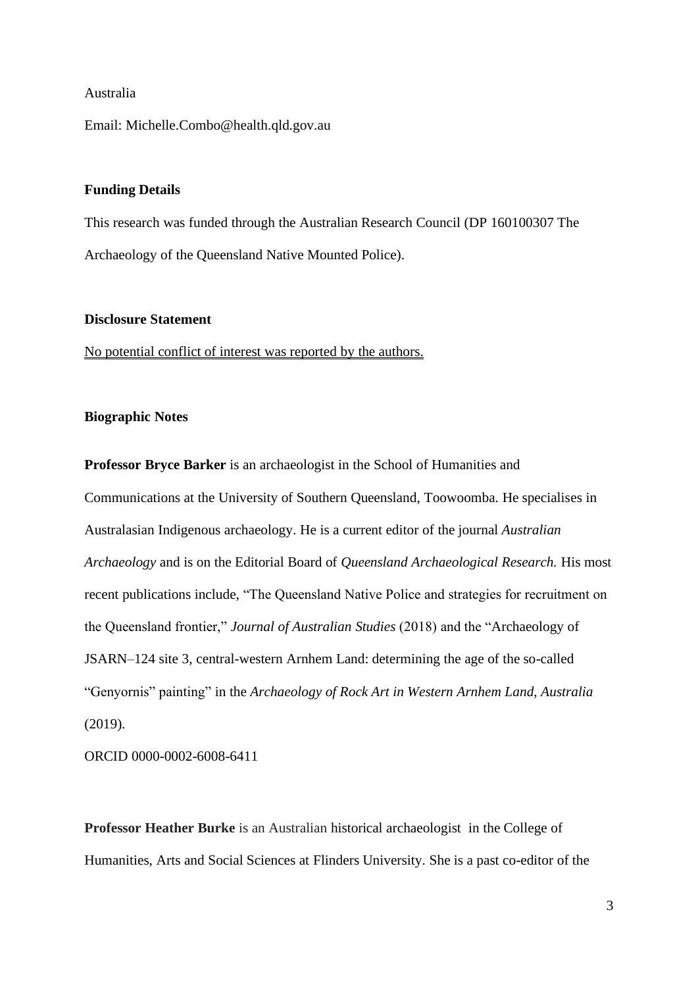#### Australia

Email: Michelle.Combo@health.qld.gov.au

#### **Funding Details**

This research was funded through the Australian Research Council (DP 160100307 The Archaeology of the Queensland Native Mounted Police).

#### **Disclosure Statement**

No potential conflict of interest was reported by the authors.

#### **Biographic Notes**

**Professor Bryce Barker** is an archaeologist in the School of Humanities and Communications at the University of Southern Queensland, Toowoomba. He specialises in Australasian Indigenous archaeology. He is a current editor of the journal *Australian Archaeology* and is on the Editorial Board of *Queensland Archaeological Research.* His most recent publications include, "The Queensland Native Police and strategies for recruitment on the Queensland frontier," *Journal of Australian Studies* (2018) and the "Archaeology of JSARN–124 site 3, central-western Arnhem Land: determining the age of the so-called "Genyornis" painting" in the *Archaeology of Rock Art in Western Arnhem Land, Australia*  (2019)*.*

ORCID 0000-0002-6008-6411

**Professor Heather Burke** is an Australian historical archaeologist in the College of Humanities, Arts and Social Sciences at Flinders University. She is a past co-editor of the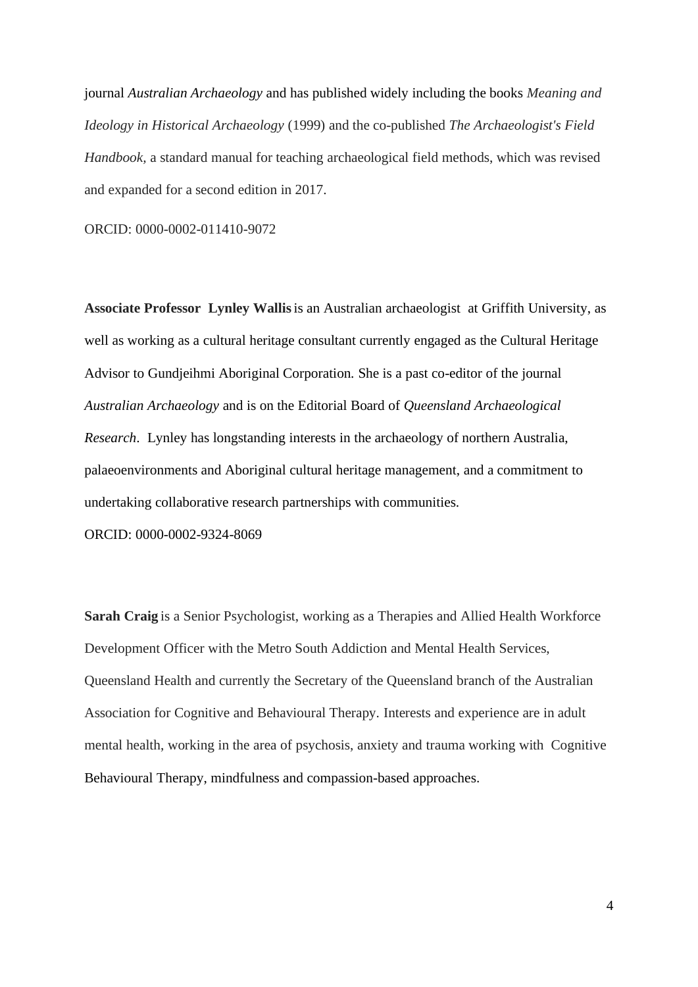journal *Australian Archaeology* and has published widely including the books *Meaning and Ideology in Historical Archaeology* (1999) and the co-published *The Archaeologist's Field Handbook,* a standard manual for teaching archaeological field methods, which was revised and expanded for a second edition in 2017.

ORCID: 0000-0002-011410-9072

**Associate Professor Lynley Wallis**is an Australian archaeologist at Griffith University, as well as working as a cultural heritage consultant currently engaged as the Cultural Heritage Advisor to Gundjeihmi Aboriginal Corporation. She is a past co-editor of the journal *Australian Archaeology* and is on the Editorial Board of *Queensland Archaeological Research*. Lynley has longstanding interests in the archaeology of northern Australia, palaeoenvironments and Aboriginal cultural heritage management, and a commitment to undertaking collaborative research partnerships with communities.

ORCID: 0000-0002-9324-8069

**Sarah Craig** is a Senior Psychologist, working as a Therapies and Allied Health Workforce Development Officer with the Metro South Addiction and Mental Health Services, Queensland Health and currently the Secretary of the Queensland branch of the Australian Association for Cognitive and Behavioural Therapy. Interests and experience are in adult mental health, working in the area of psychosis, anxiety and trauma working with Cognitive Behavioural Therapy, mindfulness and compassion-based approaches.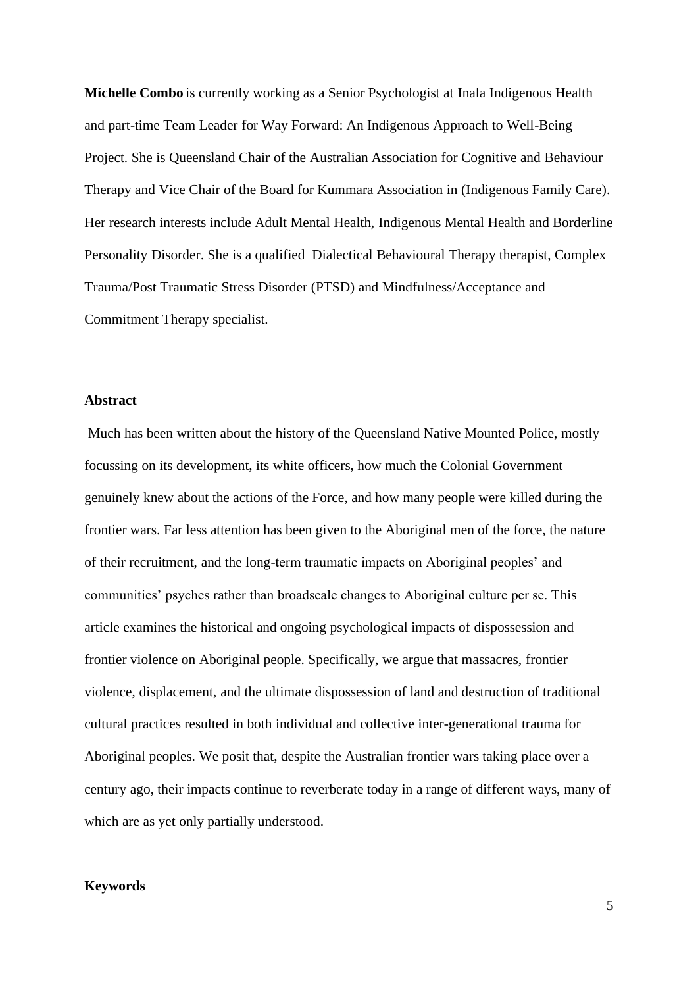**Michelle Combo** is currently working as a Senior Psychologist at Inala Indigenous Health and part-time Team Leader for Way Forward: An Indigenous Approach to Well-Being Project. She is Queensland Chair of the Australian Association for Cognitive and Behaviour Therapy and Vice Chair of the Board for Kummara Association in (Indigenous Family Care). Her research interests include Adult Mental Health, Indigenous Mental Health and Borderline Personality Disorder. She is a qualified Dialectical Behavioural Therapy therapist, Complex Trauma/Post Traumatic Stress Disorder (PTSD) and Mindfulness/Acceptance and Commitment Therapy specialist.

#### **Abstract**

Much has been written about the history of the Queensland Native Mounted Police, mostly focussing on its development, its white officers, how much the Colonial Government genuinely knew about the actions of the Force, and how many people were killed during the frontier wars. Far less attention has been given to the Aboriginal men of the force, the nature of their recruitment, and the long-term traumatic impacts on Aboriginal peoples' and communities' psyches rather than broadscale changes to Aboriginal culture per se. This article examines the historical and ongoing psychological impacts of dispossession and frontier violence on Aboriginal people. Specifically, we argue that massacres, frontier violence, displacement, and the ultimate dispossession of land and destruction of traditional cultural practices resulted in both individual and collective inter-generational trauma for Aboriginal peoples. We posit that, despite the Australian frontier wars taking place over a century ago, their impacts continue to reverberate today in a range of different ways, many of which are as yet only partially understood.

#### **Keywords**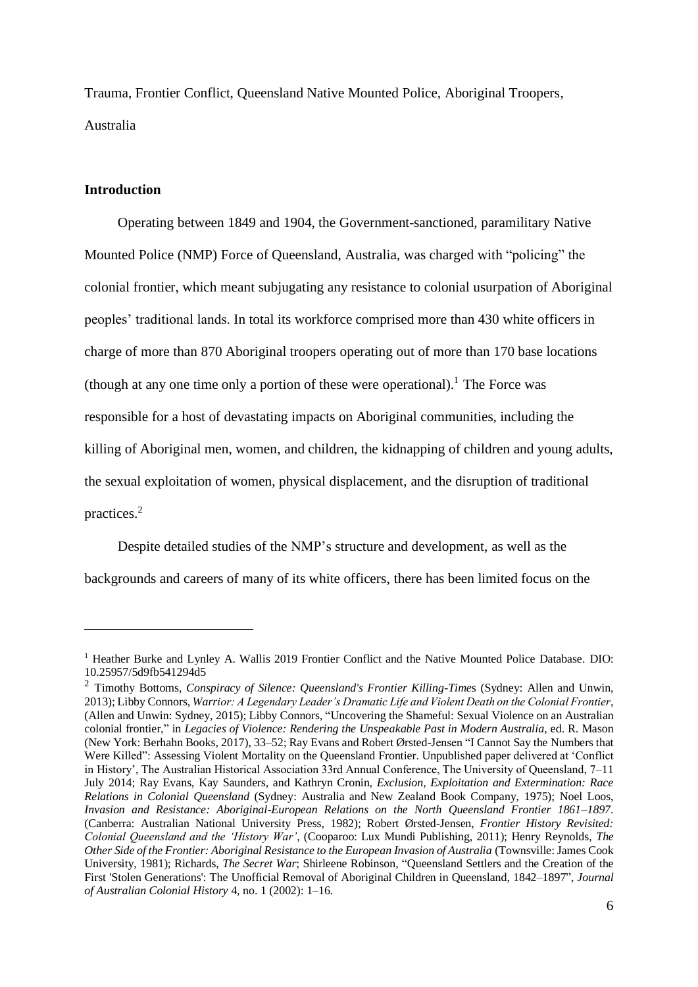Trauma, Frontier Conflict, Queensland Native Mounted Police, Aboriginal Troopers, Australia

### **Introduction**

Operating between 1849 and 1904, the Government-sanctioned, paramilitary Native Mounted Police (NMP) Force of Queensland, Australia, was charged with "policing" the colonial frontier, which meant subjugating any resistance to colonial usurpation of Aboriginal peoples' traditional lands. In total its workforce comprised more than 430 white officers in charge of more than 870 Aboriginal troopers operating out of more than 170 base locations (though at any one time only a portion of these were operational). 1 The Force was responsible for a host of devastating impacts on Aboriginal communities, including the killing of Aboriginal men, women, and children, the kidnapping of children and young adults, the sexual exploitation of women, physical displacement, and the disruption of traditional practices. 2

Despite detailed studies of the NMP's structure and development, as well as the backgrounds and careers of many of its white officers, there has been limited focus on the

<sup>&</sup>lt;sup>1</sup> Heather Burke and Lynley A. Wallis 2019 Frontier Conflict and the Native Mounted Police Database. DIO: 10.25957/5d9fb541294d5

<sup>2</sup> Timothy Bottoms, *Conspiracy of Silence: Queensland's Frontier Killing-Time*s (Sydney: Allen and Unwin, 2013); Libby Connors, *Warrior: A Legendary Leader's Dramatic Life and Violent Death on the Colonial Frontier*, (Allen and Unwin: Sydney, 2015); Libby Connors, "Uncovering the Shameful: Sexual Violence on an Australian colonial frontier," in *Legacies of Violence: Rendering the Unspeakable Past in Modern Australia*, ed. R. Mason (New York: Berhahn Books, 2017), 33–52; Ray Evans and Robert Ørsted-Jensen "I Cannot Say the Numbers that Were Killed": Assessing Violent Mortality on the Queensland Frontier. Unpublished paper delivered at 'Conflict in History', The Australian Historical Association 33rd Annual Conference, The University of Queensland, 7–11 July 2014; Ray Evans, Kay Saunders, and Kathryn Cronin, *Exclusion, Exploitation and Extermination: Race Relations in Colonial Queensland* (Sydney: Australia and New Zealand Book Company, 1975); Noel Loos, *Invasion and Resistance: Aboriginal-European Relations on the North Queensland Frontier 1861–1897*. (Canberra: Australian National University Press, 1982); Robert Ørsted-Jensen, *Frontier History Revisited: Colonial Queensland and the 'History War'*, (Cooparoo: Lux Mundi Publishing, 2011); Henry Reynolds, *The Other Side of the Frontier: Aboriginal Resistance to the European Invasion of Australia* (Townsville: James Cook University, 1981); Richards, *The Secret War*; Shirleene Robinson, "Queensland Settlers and the Creation of the First 'Stolen Generations': The Unofficial Removal of Aboriginal Children in Queensland, 1842–1897", *Journal of Australian Colonial History* 4, no. 1 (2002): 1–16.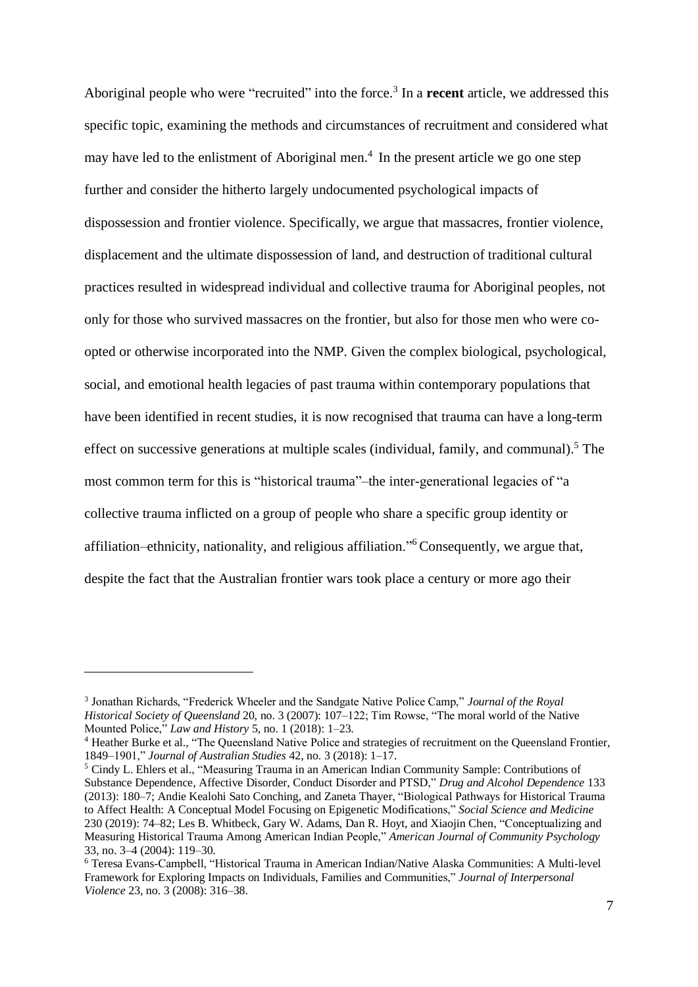Aboriginal people who were "recruited" into the force. 3 In a **recent** article, we addressed this specific topic, examining the methods and circumstances of recruitment and considered what may have led to the enlistment of Aboriginal men. 4 In the present article we go one step further and consider the hitherto largely undocumented psychological impacts of dispossession and frontier violence. Specifically, we argue that massacres, frontier violence, displacement and the ultimate dispossession of land, and destruction of traditional cultural practices resulted in widespread individual and collective trauma for Aboriginal peoples, not only for those who survived massacres on the frontier, but also for those men who were coopted or otherwise incorporated into the NMP. Given the complex biological, psychological, social, and emotional health legacies of past trauma within contemporary populations that have been identified in recent studies, it is now recognised that trauma can have a long-term effect on successive generations at multiple scales (individual, family, and communal). <sup>5</sup> The most common term for this is "historical trauma"–the inter-generational legacies of "a collective trauma inflicted on a group of people who share a specific group identity or affiliation–ethnicity, nationality, and religious affiliation."<sup>6</sup> Consequently, we argue that, despite the fact that the Australian frontier wars took place a century or more ago their

<sup>3</sup> Jonathan Richards, "Frederick Wheeler and the Sandgate Native Police Camp," *Journal of the Royal Historical Society of Queensland* 20, no. 3 (2007): 107–122; Tim Rowse, "The moral world of the Native Mounted Police," *Law and History* 5, no. 1 (2018): 1–23.

<sup>4</sup> Heather Burke et al., "The Queensland Native Police and strategies of recruitment on the Queensland Frontier, 1849–1901," *Journal of Australian Studies* 42, no. 3 (2018): 1–17.

<sup>5</sup> Cindy L. Ehlers et al., "Measuring Trauma in an American Indian Community Sample: Contributions of Substance Dependence, Affective Disorder, Conduct Disorder and PTSD," *Drug and Alcohol Dependence* 133 (2013): 180–7; Andie Kealohi Sato Conching, and Zaneta Thayer, "Biological Pathways for Historical Trauma to Affect Health: A Conceptual Model Focusing on Epigenetic Modifications," *Social Science and Medicine*  230 (2019): 74–82; Les B. Whitbeck, Gary W. Adams, Dan R. Hoyt, and Xiaojin Chen, "Conceptualizing and Measuring Historical Trauma Among American Indian People," *American Journal of Community Psychology*  33, no. 3–4 (2004): 119–30.

<sup>6</sup> Teresa Evans-Campbell, "Historical Trauma in American Indian/Native Alaska Communities: A Multi-level Framework for Exploring Impacts on Individuals, Families and Communities," *Journal of Interpersonal Violence* 23, no. 3 (2008): 316–38.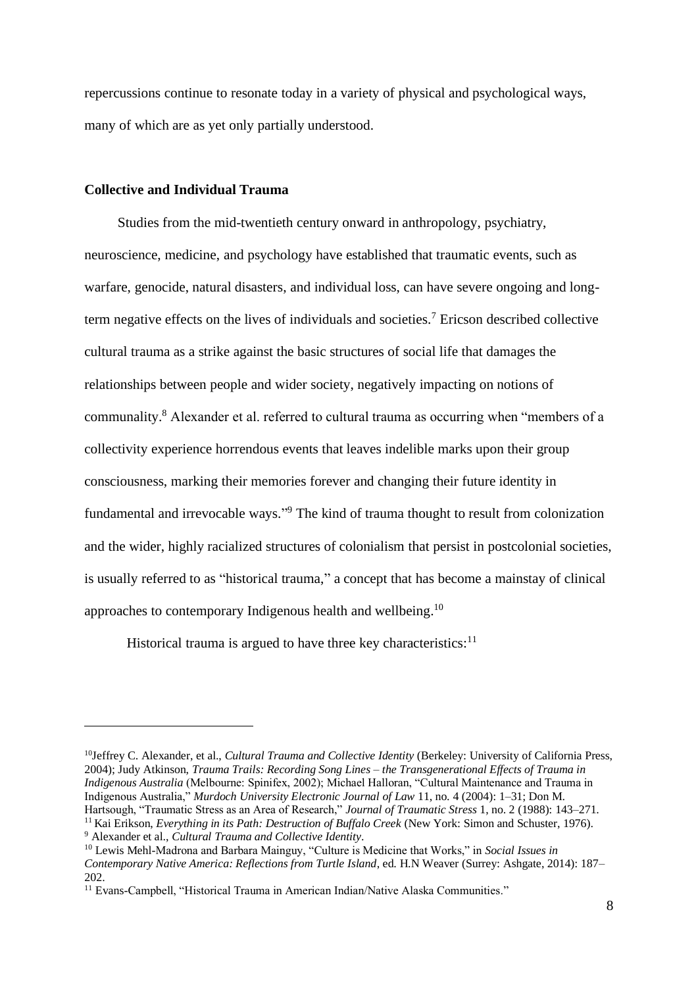repercussions continue to resonate today in a variety of physical and psychological ways, many of which are as yet only partially understood.

### **Collective and Individual Trauma**

Studies from the mid-twentieth century onward in anthropology, psychiatry, neuroscience, medicine, and psychology have established that traumatic events, such as warfare, genocide, natural disasters, and individual loss, can have severe ongoing and longterm negative effects on the lives of individuals and societies. <sup>7</sup> Ericson described collective cultural trauma as a strike against the basic structures of social life that damages the relationships between people and wider society, negatively impacting on notions of communality.<sup>8</sup> Alexander et al. referred to cultural trauma as occurring when "members of a collectivity experience horrendous events that leaves indelible marks upon their group consciousness, marking their memories forever and changing their future identity in fundamental and irrevocable ways."<sup>9</sup> The kind of trauma thought to result from colonization and the wider, highly racialized structures of colonialism that persist in postcolonial societies, is usually referred to as "historical trauma," a concept that has become a mainstay of clinical approaches to contemporary Indigenous health and wellbeing.<sup>10</sup>

Historical trauma is argued to have three key characteristics:<sup>11</sup>

<sup>10</sup>Jeffrey C. Alexander, et al., *Cultural Trauma and Collective Identity* (Berkeley: University of California Press, 2004); Judy Atkinson, *Trauma Trails: Recording Song Lines – the Transgenerational Effects of Trauma in Indigenous Australia* (Melbourne: Spinifex, 2002); Michael Halloran, "Cultural Maintenance and Trauma in Indigenous Australia," *Murdoch University Electronic Journal of Law* 11, no. 4 (2004): 1–31; Don M. Hartsough, "Traumatic Stress as an Area of Research," *Journal of Traumatic Stress* 1, no. 2 (1988): 143–271.

<sup>&</sup>lt;sup>11</sup> Kai Erikson, *Everything in its Path: Destruction of Buffalo Creek* (New York: Simon and Schuster, 1976). <sup>9</sup> Alexander et al., *Cultural Trauma and Collective Identity*.

<sup>10</sup> Lewis Mehl-Madrona and Barbara Mainguy, "Culture is Medicine that Works," in *Social Issues in Contemporary Native America: Reflections from Turtle Island*, ed. H.N Weaver (Surrey: Ashgate, 2014): 187– 202.

<sup>&</sup>lt;sup>11</sup> Evans-Campbell, "Historical Trauma in American Indian/Native Alaska Communities."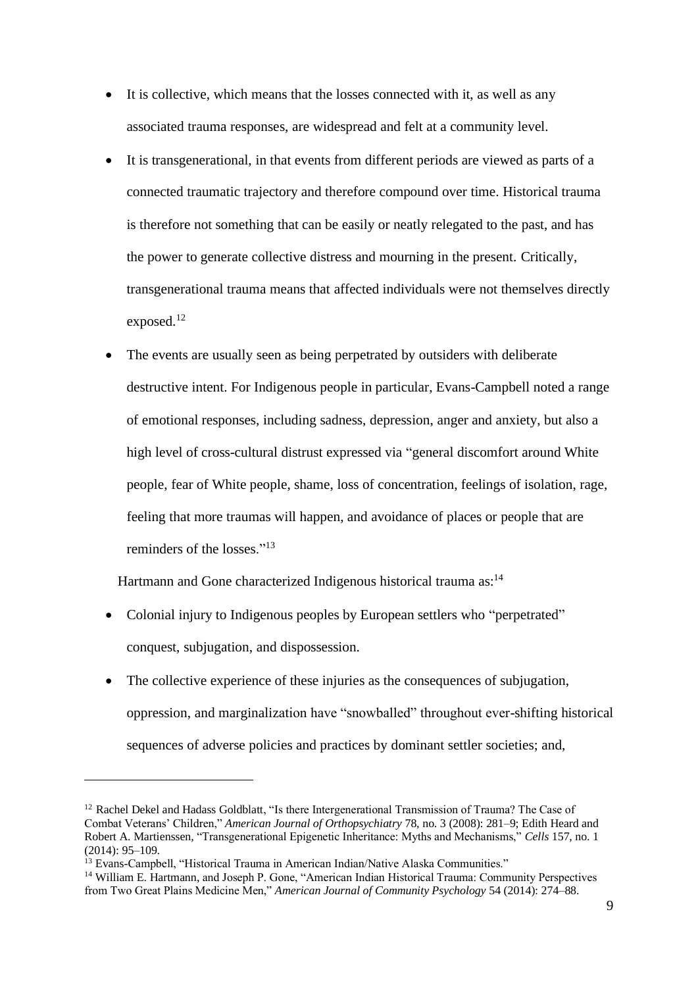- It is collective, which means that the losses connected with it, as well as any associated trauma responses, are widespread and felt at a community level.
- It is transgenerational, in that events from different periods are viewed as parts of a connected traumatic trajectory and therefore compound over time. Historical trauma is therefore not something that can be easily or neatly relegated to the past, and has the power to generate collective distress and mourning in the present. Critically, transgenerational trauma means that affected individuals were not themselves directly exposed.<sup>12</sup>
- The events are usually seen as being perpetrated by outsiders with deliberate destructive intent. For Indigenous people in particular, Evans-Campbell noted a range of emotional responses, including sadness, depression, anger and anxiety, but also a high level of cross-cultural distrust expressed via "general discomfort around White people, fear of White people, shame, loss of concentration, feelings of isolation, rage, feeling that more traumas will happen, and avoidance of places or people that are reminders of the losses."<sup>13</sup>

Hartmann and Gone characterized Indigenous historical trauma as:<sup>14</sup>

- Colonial injury to Indigenous peoples by European settlers who "perpetrated" conquest, subjugation, and dispossession.
- The collective experience of these injuries as the consequences of subjugation, oppression, and marginalization have "snowballed" throughout ever-shifting historical sequences of adverse policies and practices by dominant settler societies; and,

<sup>&</sup>lt;sup>12</sup> Rachel Dekel and Hadass Goldblatt, "Is there Intergenerational Transmission of Trauma? The Case of Combat Veterans' Children," *American Journal of Orthopsychiatry* 78, no. 3 (2008): 281–9; Edith Heard and Robert A. Martienssen, "Transgenerational Epigenetic Inheritance: Myths and Mechanisms," *Cells* 157, no. 1 (2014): 95–109.

<sup>&</sup>lt;sup>13</sup> Evans-Campbell, "Historical Trauma in American Indian/Native Alaska Communities."

<sup>14</sup> William E. Hartmann, and Joseph P. Gone, "American Indian Historical Trauma: Community Perspectives from Two Great Plains Medicine Men," *American Journal of Community Psychology* 54 (2014): 274–88.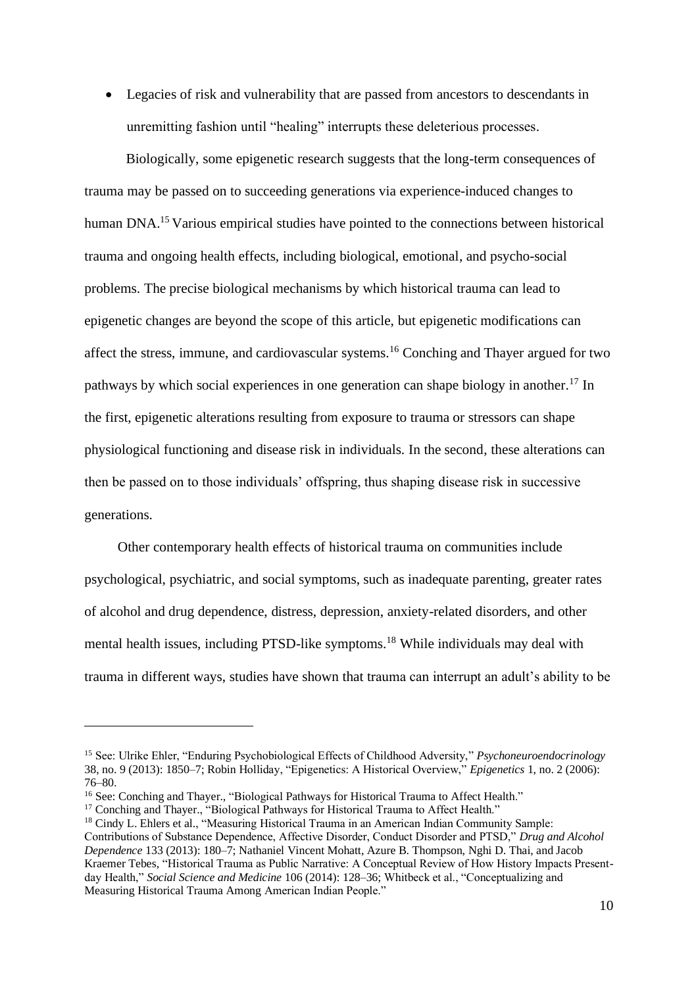• Legacies of risk and vulnerability that are passed from ancestors to descendants in unremitting fashion until "healing" interrupts these deleterious processes.

Biologically, some epigenetic research suggests that the long-term consequences of trauma may be passed on to succeeding generations via experience-induced changes to human DNA.<sup>15</sup> Various empirical studies have pointed to the connections between historical trauma and ongoing health effects, including biological, emotional, and psycho-social problems. The precise biological mechanisms by which historical trauma can lead to epigenetic changes are beyond the scope of this article, but epigenetic modifications can affect the stress, immune, and cardiovascular systems.<sup>16</sup> Conching and Thayer argued for two pathways by which social experiences in one generation can shape biology in another.<sup>17</sup> In the first, epigenetic alterations resulting from exposure to trauma or stressors can shape physiological functioning and disease risk in individuals. In the second, these alterations can then be passed on to those individuals' offspring, thus shaping disease risk in successive generations.

Other contemporary health effects of historical trauma on communities include psychological, psychiatric, and social symptoms, such as inadequate parenting, greater rates of alcohol and drug dependence, distress, depression, anxiety-related disorders, and other mental health issues, including PTSD-like symptoms.<sup>18</sup> While individuals may deal with trauma in different ways, studies have shown that trauma can interrupt an adult's ability to be

<sup>15</sup> See: Ulrike Ehler, "Enduring Psychobiological Effects of Childhood Adversity," *Psychoneuroendocrinology* 38, no. 9 (2013): 1850–7; Robin Holliday, "Epigenetics: A Historical Overview," *Epigenetics* 1, no. 2 (2006): 76–80.

<sup>&</sup>lt;sup>16</sup> See: Conching and Thayer., "Biological Pathways for Historical Trauma to Affect Health."

<sup>&</sup>lt;sup>17</sup> Conching and Thayer., "Biological Pathways for Historical Trauma to Affect Health."

<sup>&</sup>lt;sup>18</sup> Cindy L. Ehlers et al., "Measuring Historical Trauma in an American Indian Community Sample: Contributions of Substance Dependence, Affective Disorder, Conduct Disorder and PTSD," *Drug and Alcohol Dependence* 133 (2013): 180–7; Nathaniel Vincent Mohatt, Azure B. Thompson, Nghi D. Thai, and Jacob Kraemer Tebes, "Historical Trauma as Public Narrative: A Conceptual Review of How History Impacts Presentday Health," *Social Science and Medicine* 106 (2014): 128–36; Whitbeck et al., "Conceptualizing and Measuring Historical Trauma Among American Indian People."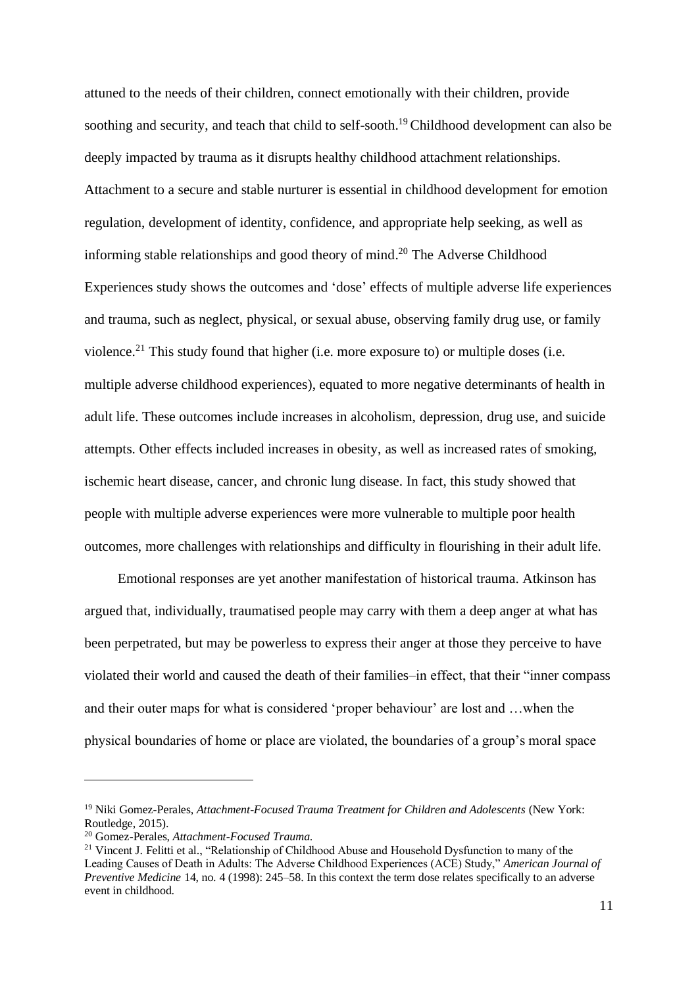attuned to the needs of their children, connect emotionally with their children, provide soothing and security, and teach that child to self-sooth.<sup>19</sup> Childhood development can also be deeply impacted by trauma as it disrupts healthy childhood attachment relationships. Attachment to a secure and stable nurturer is essential in childhood development for emotion regulation, development of identity, confidence, and appropriate help seeking, as well as informing stable relationships and good theory of mind. <sup>20</sup> The Adverse Childhood Experiences study shows the outcomes and 'dose' effects of multiple adverse life experiences and trauma, such as neglect, physical, or sexual abuse, observing family drug use, or family violence.<sup>21</sup> This study found that higher (i.e. more exposure to) or multiple doses (i.e. multiple adverse childhood experiences), equated to more negative determinants of health in adult life. These outcomes include increases in alcoholism, depression, drug use, and suicide attempts. Other effects included increases in obesity, as well as increased rates of smoking, ischemic heart disease, cancer, and chronic lung disease. In fact, this study showed that people with multiple adverse experiences were more vulnerable to multiple poor health outcomes, more challenges with relationships and difficulty in flourishing in their adult life.

Emotional responses are yet another manifestation of historical trauma. Atkinson has argued that, individually, traumatised people may carry with them a deep anger at what has been perpetrated, but may be powerless to express their anger at those they perceive to have violated their world and caused the death of their families–in effect, that their "inner compass and their outer maps for what is considered 'proper behaviour' are lost and …when the physical boundaries of home or place are violated, the boundaries of a group's moral space

<sup>19</sup> Niki Gomez-Perales, *Attachment-Focused Trauma Treatment for Children and Adolescents* (New York: Routledge, 2015).

<sup>20</sup> Gomez-Perales, *Attachment-Focused Trauma*.

<sup>&</sup>lt;sup>21</sup> Vincent J. Felitti et al., "Relationship of Childhood Abuse and Household Dysfunction to many of the Leading Causes of Death in Adults: The Adverse Childhood Experiences (ACE) Study," *American Journal of Preventive Medicine* 14, no. 4 (1998): 245–58. In this context the term dose relates specifically to an adverse event in childhood.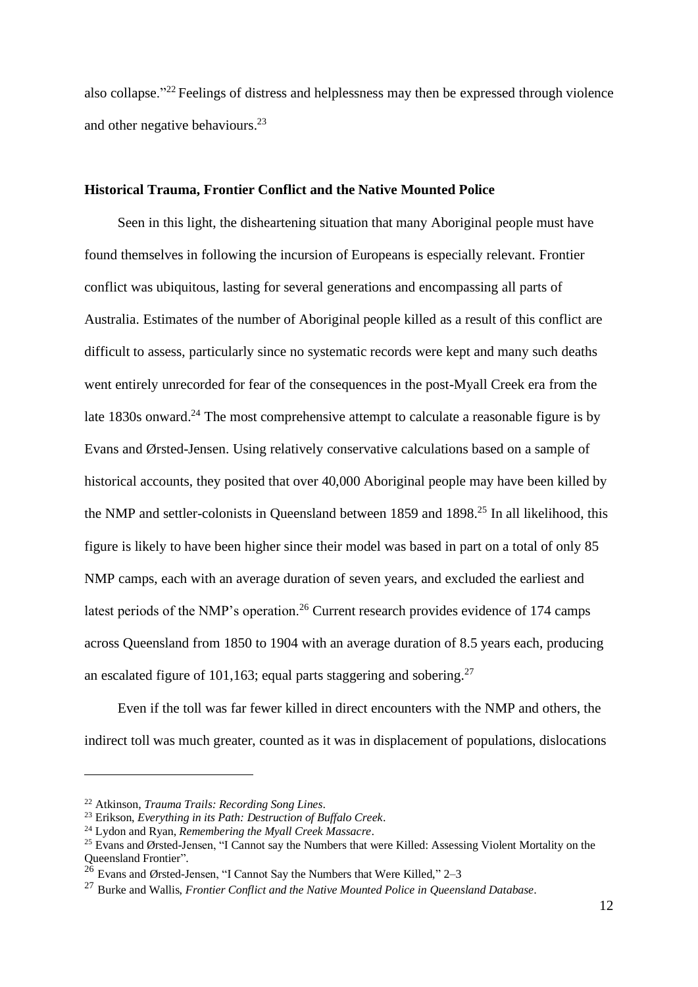also collapse."<sup>22</sup> Feelings of distress and helplessness may then be expressed through violence and other negative behaviours. 23

### **Historical Trauma, Frontier Conflict and the Native Mounted Police**

Seen in this light, the disheartening situation that many Aboriginal people must have found themselves in following the incursion of Europeans is especially relevant. Frontier conflict was ubiquitous, lasting for several generations and encompassing all parts of Australia. Estimates of the number of Aboriginal people killed as a result of this conflict are difficult to assess, particularly since no systematic records were kept and many such deaths went entirely unrecorded for fear of the consequences in the post-Myall Creek era from the late 1830s onward.<sup>24</sup> The most comprehensive attempt to calculate a reasonable figure is by Evans and Ørsted-Jensen. Using relatively conservative calculations based on a sample of historical accounts, they posited that over 40,000 Aboriginal people may have been killed by the NMP and settler-colonists in Queensland between 1859 and 1898<sup>25</sup> In all likelihood, this figure is likely to have been higher since their model was based in part on a total of only 85 NMP camps, each with an average duration of seven years, and excluded the earliest and latest periods of the NMP's operation.<sup>26</sup> Current research provides evidence of 174 camps across Queensland from 1850 to 1904 with an average duration of 8.5 years each, producing an escalated figure of 101,163; equal parts staggering and sobering.<sup>27</sup>

Even if the toll was far fewer killed in direct encounters with the NMP and others, the indirect toll was much greater, counted as it was in displacement of populations, dislocations

<sup>22</sup> Atkinson, *Trauma Trails: Recording Song Lines*.

<sup>23</sup> Erikson, *Everything in its Path: Destruction of Buffalo Creek*.

<sup>24</sup> Lydon and Ryan, *Remembering the Myall Creek Massacre*.

<sup>&</sup>lt;sup>25</sup> Evans and Ørsted-Jensen, "I Cannot say the Numbers that were Killed: Assessing Violent Mortality on the Queensland Frontier".

<sup>26</sup> Evans and Ørsted-Jensen, "I Cannot Say the Numbers that Were Killed," 2–3

<sup>27</sup> Burke and Wallis, *Frontier Conflict and the Native Mounted Police in Queensland Database*.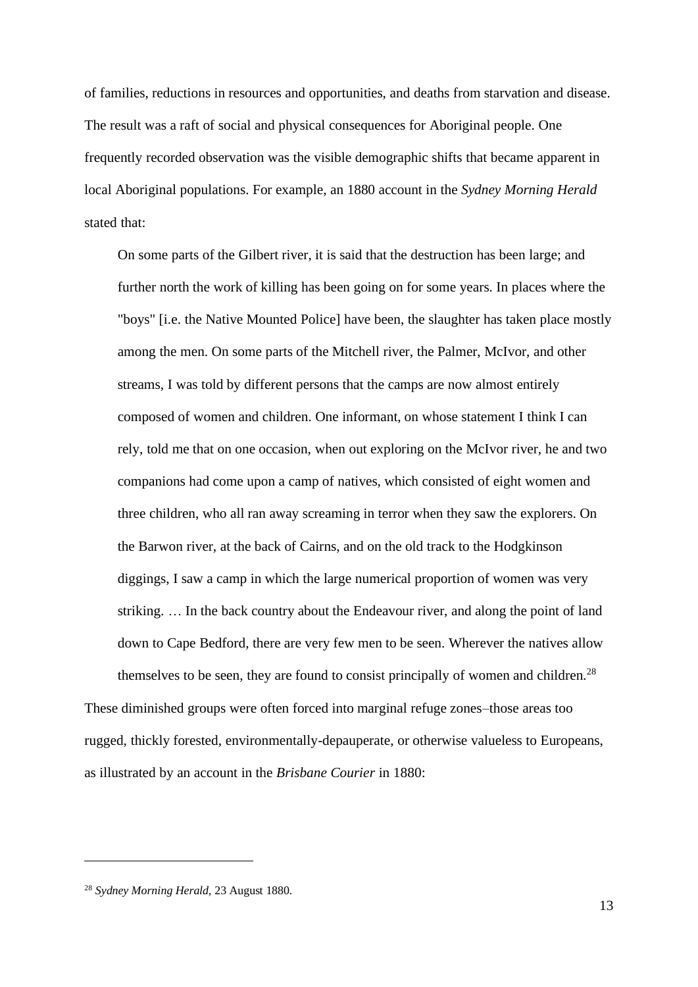of families, reductions in resources and opportunities, and deaths from starvation and disease. The result was a raft of social and physical consequences for Aboriginal people. One frequently recorded observation was the visible demographic shifts that became apparent in local Aboriginal populations. For example, an 1880 account in the *Sydney Morning Herald* stated that:

On some parts of the Gilbert river, it is said that the destruction has been large; and further north the work of killing has been going on for some years. In places where the "boys" [i.e. the Native Mounted Police] have been, the slaughter has taken place mostly among the men. On some parts of the Mitchell river, the Palmer, McIvor, and other streams, I was told by different persons that the camps are now almost entirely composed of women and children. One informant, on whose statement I think I can rely, told me that on one occasion, when out exploring on the McIvor river, he and two companions had come upon a camp of natives, which consisted of eight women and three children, who all ran away screaming in terror when they saw the explorers. On the Barwon river, at the back of Cairns, and on the old track to the Hodgkinson diggings, I saw a camp in which the large numerical proportion of women was very striking. … In the back country about the Endeavour river, and along the point of land down to Cape Bedford, there are very few men to be seen. Wherever the natives allow themselves to be seen, they are found to consist principally of women and children.<sup>28</sup>

These diminished groups were often forced into marginal refuge zones–those areas too rugged, thickly forested, environmentally-depauperate, or otherwise valueless to Europeans, as illustrated by an account in the *Brisbane Courier* in 1880:

<sup>28</sup> *Sydney Morning Herald*, 23 August 1880.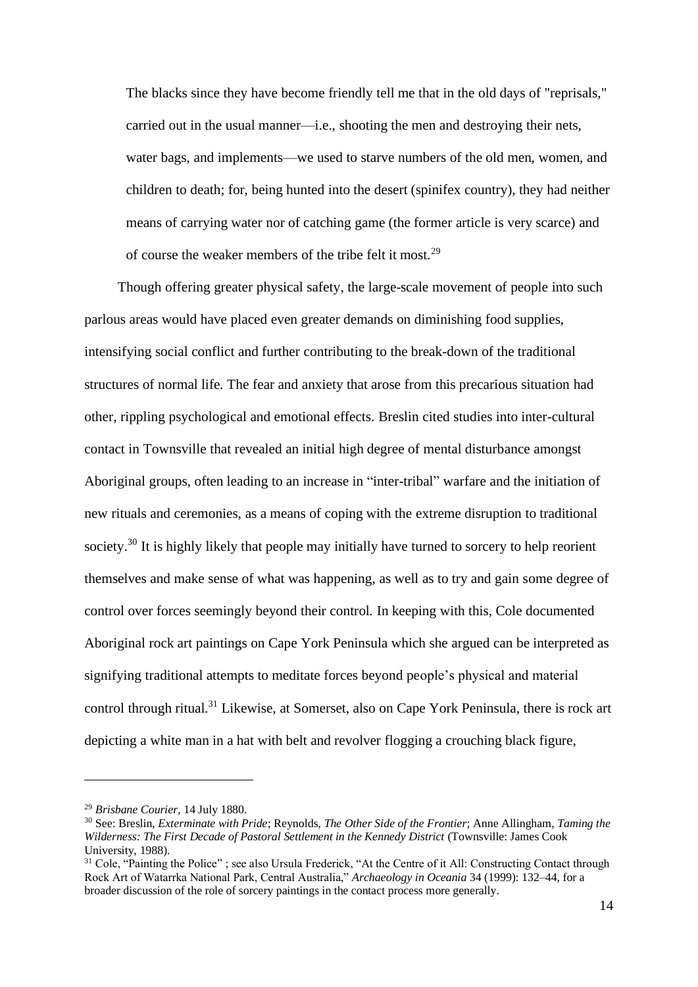The blacks since they have become friendly tell me that in the old days of "reprisals," carried out in the usual manner—i.e., shooting the men and destroying their nets, water bags, and implements—we used to starve numbers of the old men, women, and children to death; for, being hunted into the desert (spinifex country), they had neither means of carrying water nor of catching game (the former article is very scarce) and of course the weaker members of the tribe felt it most.<sup>29</sup>

Though offering greater physical safety, the large-scale movement of people into such parlous areas would have placed even greater demands on diminishing food supplies, intensifying social conflict and further contributing to the break-down of the traditional structures of normal life. The fear and anxiety that arose from this precarious situation had other, rippling psychological and emotional effects. Breslin cited studies into inter-cultural contact in Townsville that revealed an initial high degree of mental disturbance amongst Aboriginal groups, often leading to an increase in "inter-tribal" warfare and the initiation of new rituals and ceremonies, as a means of coping with the extreme disruption to traditional society.<sup>30</sup> It is highly likely that people may initially have turned to sorcery to help reorient themselves and make sense of what was happening, as well as to try and gain some degree of control over forces seemingly beyond their control. In keeping with this, Cole documented Aboriginal rock art paintings on Cape York Peninsula which she argued can be interpreted as signifying traditional attempts to meditate forces beyond people's physical and material control through ritual.<sup>31</sup> Likewise, at Somerset, also on Cape York Peninsula, there is rock art depicting a white man in a hat with belt and revolver flogging a crouching black figure,

<sup>29</sup> *Brisbane Courier,* 14 July 1880.

<sup>30</sup> See: Breslin, *Exterminate with Pride*; Reynolds, *The Other Side of the Frontier*; Anne Allingham, *Taming the Wilderness: The First Decade of Pastoral Settlement in the Kennedy District* (Townsville: James Cook University, 1988).

<sup>&</sup>lt;sup>31</sup> Cole, "Painting the Police" ; see also Ursula Frederick, "At the Centre of it All: Constructing Contact through Rock Art of Watarrka National Park, Central Australia," *Archaeology in Oceania* 34 (1999): 132–44, for a broader discussion of the role of sorcery paintings in the contact process more generally.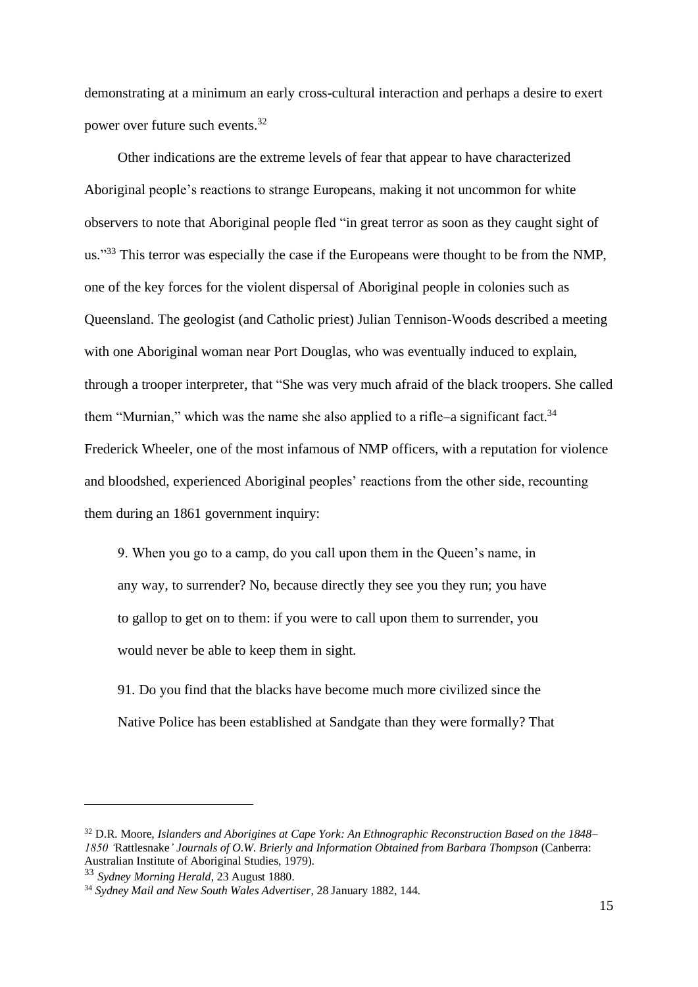demonstrating at a minimum an early cross-cultural interaction and perhaps a desire to exert power over future such events.<sup>32</sup>

Other indications are the extreme levels of fear that appear to have characterized Aboriginal people's reactions to strange Europeans, making it not uncommon for white observers to note that Aboriginal people fled "in great terror as soon as they caught sight of us."<sup>33</sup> This terror was especially the case if the Europeans were thought to be from the NMP, one of the key forces for the violent dispersal of Aboriginal people in colonies such as Queensland. The geologist (and Catholic priest) Julian Tennison-Woods described a meeting with one Aboriginal woman near Port Douglas, who was eventually induced to explain, through a trooper interpreter, that "She was very much afraid of the black troopers. She called them "Murnian," which was the name she also applied to a rifle–a significant fact.<sup>34</sup> Frederick Wheeler, one of the most infamous of NMP officers, with a reputation for violence and bloodshed, experienced Aboriginal peoples' reactions from the other side, recounting them during an 1861 government inquiry:

9. When you go to a camp, do you call upon them in the Queen's name, in any way, to surrender? No, because directly they see you they run; you have to gallop to get on to them: if you were to call upon them to surrender, you would never be able to keep them in sight.

91. Do you find that the blacks have become much more civilized since the Native Police has been established at Sandgate than they were formally? That

<sup>32</sup> D.R. Moore, *Islanders and Aborigines at Cape York: An Ethnographic Reconstruction Based on the 1848– 1850 '*Rattlesnake*' Journals of O.W. Brierly and Information Obtained from Barbara Thompson* (Canberra: Australian Institute of Aboriginal Studies, 1979).

<sup>33</sup> *Sydney Morning Herald*, 23 August 1880.

<sup>34</sup> *Sydney Mail and New South Wales Advertiser*, 28 January 1882, 144.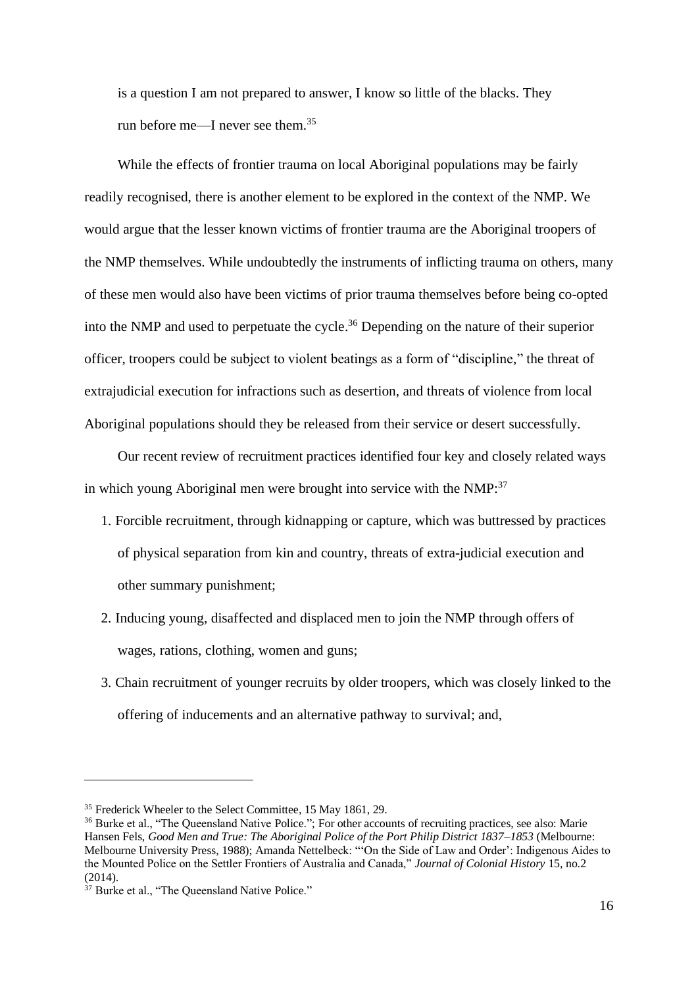is a question I am not prepared to answer, I know so little of the blacks. They run before me—I never see them.<sup>35</sup>

While the effects of frontier trauma on local Aboriginal populations may be fairly readily recognised, there is another element to be explored in the context of the NMP. We would argue that the lesser known victims of frontier trauma are the Aboriginal troopers of the NMP themselves. While undoubtedly the instruments of inflicting trauma on others, many of these men would also have been victims of prior trauma themselves before being co-opted into the NMP and used to perpetuate the cycle. <sup>36</sup> Depending on the nature of their superior officer, troopers could be subject to violent beatings as a form of "discipline," the threat of extrajudicial execution for infractions such as desertion, and threats of violence from local Aboriginal populations should they be released from their service or desert successfully.

Our recent review of recruitment practices identified four key and closely related ways in which young Aboriginal men were brought into service with the NMP:<sup>37</sup>

- 1. Forcible recruitment, through kidnapping or capture, which was buttressed by practices of physical separation from kin and country, threats of extra-judicial execution and other summary punishment;
- 2. Inducing young, disaffected and displaced men to join the NMP through offers of wages, rations, clothing, women and guns;
- 3. Chain recruitment of younger recruits by older troopers, which was closely linked to the offering of inducements and an alternative pathway to survival; and,

<sup>&</sup>lt;sup>35</sup> Frederick Wheeler to the Select Committee, 15 May 1861, 29.

<sup>&</sup>lt;sup>36</sup> Burke et al., "The Queensland Native Police."; For other accounts of recruiting practices, see also: Marie Hansen Fels, *Good Men and True: The Aboriginal Police of the Port Philip District 1837–1853* (Melbourne: Melbourne University Press, 1988); Amanda Nettelbeck: "'On the Side of Law and Order': Indigenous Aides to the Mounted Police on the Settler Frontiers of Australia and Canada," *Journal of Colonial History* 15, no.2 (2014).

<sup>&</sup>lt;sup>37</sup> Burke et al., "The Queensland Native Police."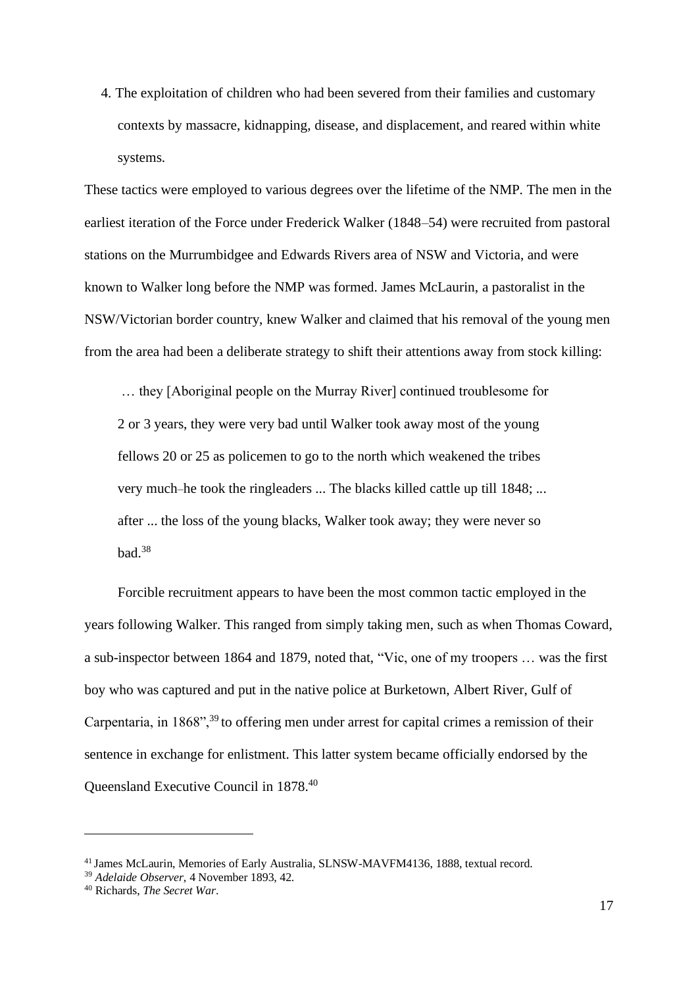4. The exploitation of children who had been severed from their families and customary contexts by massacre, kidnapping, disease, and displacement, and reared within white systems.

These tactics were employed to various degrees over the lifetime of the NMP. The men in the earliest iteration of the Force under Frederick Walker (1848–54) were recruited from pastoral stations on the Murrumbidgee and Edwards Rivers area of NSW and Victoria, and were known to Walker long before the NMP was formed. James McLaurin, a pastoralist in the NSW/Victorian border country, knew Walker and claimed that his removal of the young men from the area had been a deliberate strategy to shift their attentions away from stock killing:

… they [Aboriginal people on the Murray River] continued troublesome for 2 or 3 years, they were very bad until Walker took away most of the young fellows 20 or 25 as policemen to go to the north which weakened the tribes very much–he took the ringleaders ... The blacks killed cattle up till 1848; ... after ... the loss of the young blacks, Walker took away; they were never so  $bad.<sup>38</sup>$ 

Forcible recruitment appears to have been the most common tactic employed in the years following Walker. This ranged from simply taking men, such as when Thomas Coward, a sub-inspector between 1864 and 1879, noted that, "Vic, one of my troopers … was the first boy who was captured and put in the native police at Burketown, Albert River, Gulf of Carpentaria, in  $1868$ ",<sup>39</sup> to offering men under arrest for capital crimes a remission of their sentence in exchange for enlistment. This latter system became officially endorsed by the Queensland Executive Council in 1878.<sup>40</sup>

<sup>41</sup>James McLaurin, Memories of Early Australia, SLNSW-MAVFM4136, 1888, textual record.

<sup>39</sup> *Adelaide Observer*, 4 November 1893, 42.

<sup>40</sup> Richards, *The Secret War*.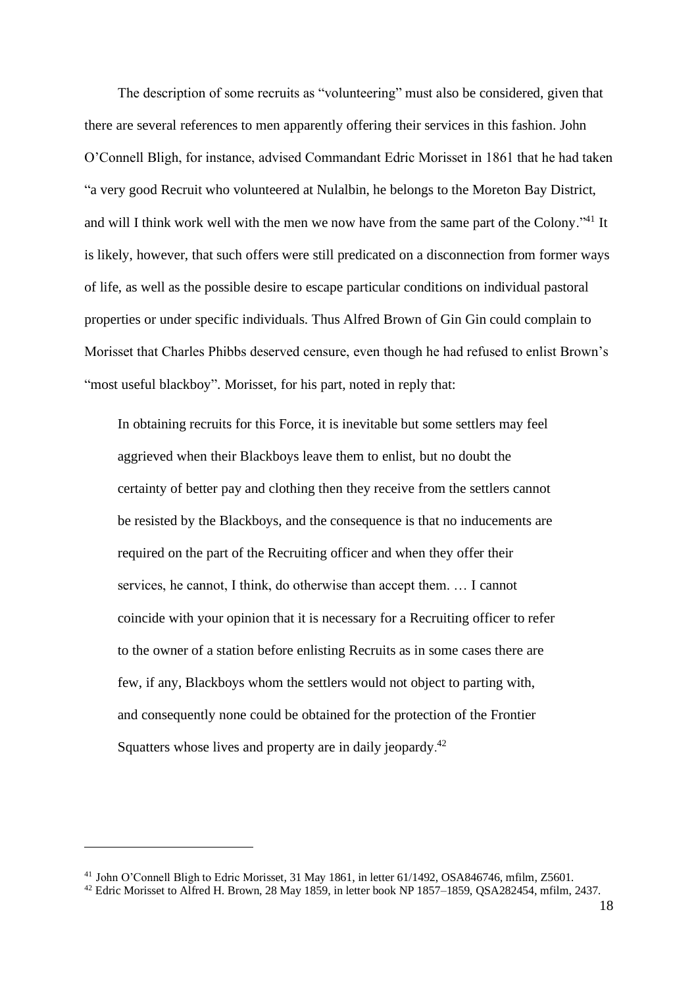The description of some recruits as "volunteering" must also be considered, given that there are several references to men apparently offering their services in this fashion. John O'Connell Bligh, for instance, advised Commandant Edric Morisset in 1861 that he had taken "a very good Recruit who volunteered at Nulalbin, he belongs to the Moreton Bay District, and will I think work well with the men we now have from the same part of the Colony."<sup>41</sup> It is likely, however, that such offers were still predicated on a disconnection from former ways of life, as well as the possible desire to escape particular conditions on individual pastoral properties or under specific individuals. Thus Alfred Brown of Gin Gin could complain to Morisset that Charles Phibbs deserved censure, even though he had refused to enlist Brown's "most useful blackboy". Morisset, for his part, noted in reply that:

In obtaining recruits for this Force, it is inevitable but some settlers may feel aggrieved when their Blackboys leave them to enlist, but no doubt the certainty of better pay and clothing then they receive from the settlers cannot be resisted by the Blackboys, and the consequence is that no inducements are required on the part of the Recruiting officer and when they offer their services, he cannot, I think, do otherwise than accept them. … I cannot coincide with your opinion that it is necessary for a Recruiting officer to refer to the owner of a station before enlisting Recruits as in some cases there are few, if any, Blackboys whom the settlers would not object to parting with, and consequently none could be obtained for the protection of the Frontier Squatters whose lives and property are in daily jeopardy.<sup>42</sup>

<sup>41</sup> John O'Connell Bligh to Edric Morisset, 31 May 1861, in letter 61/1492, OSA846746, mfilm, Z5601.

<sup>42</sup> Edric Morisset to Alfred H. Brown, 28 May 1859, in letter book NP 1857–1859, QSA282454, mfilm, 2437.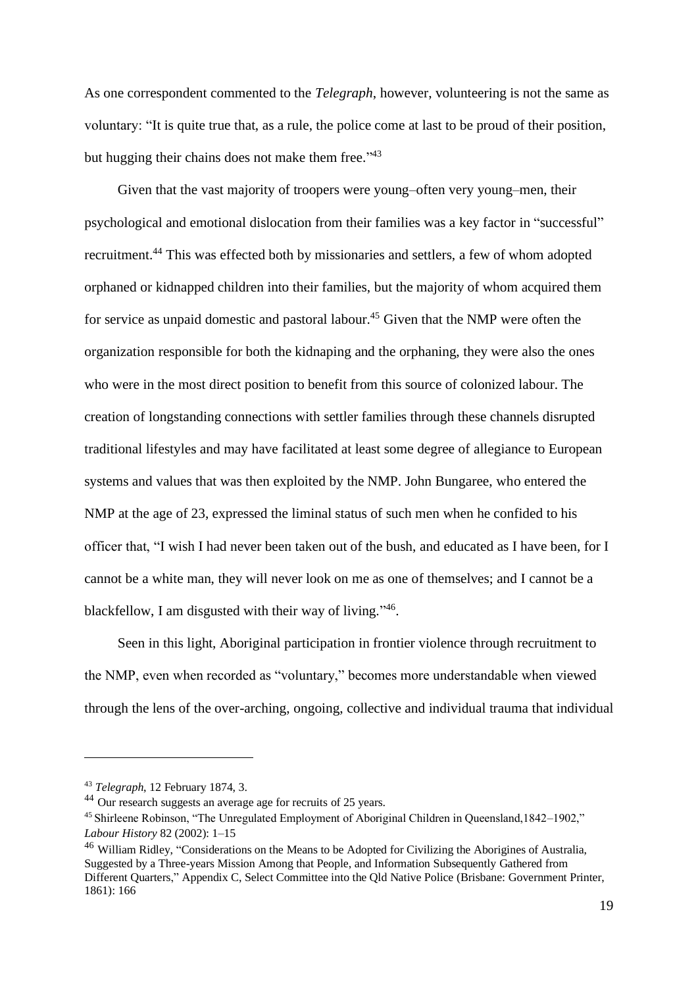As one correspondent commented to the *Telegraph*, however, volunteering is not the same as voluntary: "It is quite true that, as a rule, the police come at last to be proud of their position, but hugging their chains does not make them free."<sup>43</sup>

Given that the vast majority of troopers were young–often very young–men, their psychological and emotional dislocation from their families was a key factor in "successful" recruitment.<sup>44</sup> This was effected both by missionaries and settlers, a few of whom adopted orphaned or kidnapped children into their families, but the majority of whom acquired them for service as unpaid domestic and pastoral labour.<sup>45</sup> Given that the NMP were often the organization responsible for both the kidnaping and the orphaning, they were also the ones who were in the most direct position to benefit from this source of colonized labour. The creation of longstanding connections with settler families through these channels disrupted traditional lifestyles and may have facilitated at least some degree of allegiance to European systems and values that was then exploited by the NMP. John Bungaree, who entered the NMP at the age of 23, expressed the liminal status of such men when he confided to his officer that, "I wish I had never been taken out of the bush, and educated as I have been, for I cannot be a white man, they will never look on me as one of themselves; and I cannot be a blackfellow, I am disgusted with their way of living."<sup>46</sup>.

Seen in this light, Aboriginal participation in frontier violence through recruitment to the NMP, even when recorded as "voluntary," becomes more understandable when viewed through the lens of the over-arching, ongoing, collective and individual trauma that individual

<sup>43</sup> *Telegraph*, 12 February 1874, 3.

<sup>44</sup> Our research suggests an average age for recruits of 25 years.

<sup>45</sup> Shirleene Robinson, "The Unregulated Employment of Aboriginal Children in Queensland,1842–1902," *Labour History* 82 (2002): 1–15

<sup>46</sup> William Ridley, "Considerations on the Means to be Adopted for Civilizing the Aborigines of Australia, Suggested by a Three-years Mission Among that People, and Information Subsequently Gathered from Different Quarters," Appendix C, Select Committee into the Qld Native Police (Brisbane: Government Printer, 1861): 166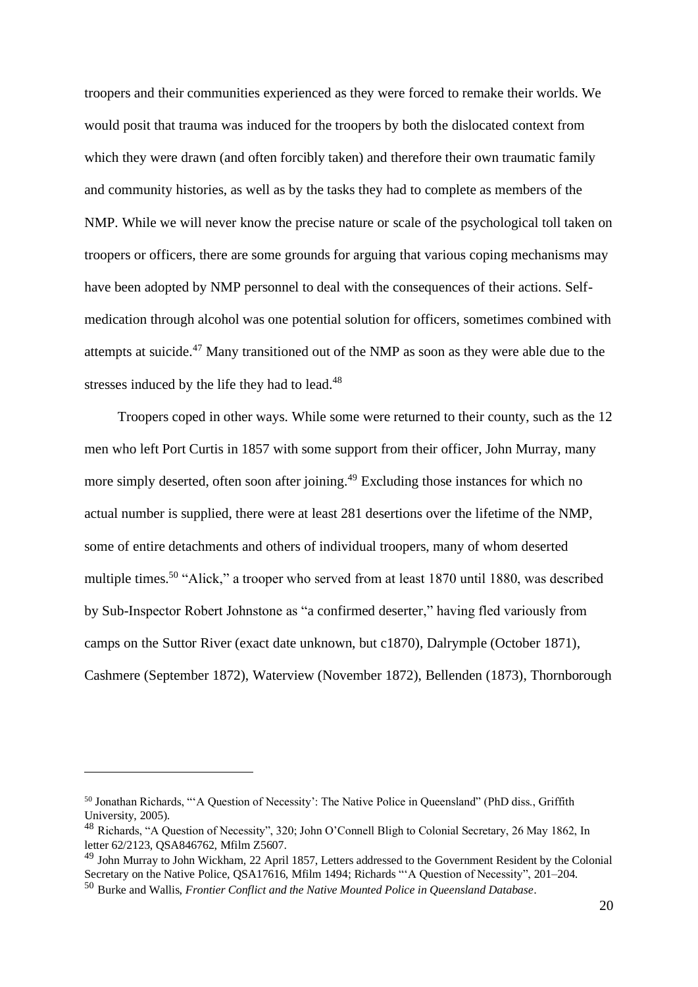troopers and their communities experienced as they were forced to remake their worlds. We would posit that trauma was induced for the troopers by both the dislocated context from which they were drawn (and often forcibly taken) and therefore their own traumatic family and community histories, as well as by the tasks they had to complete as members of the NMP. While we will never know the precise nature or scale of the psychological toll taken on troopers or officers, there are some grounds for arguing that various coping mechanisms may have been adopted by NMP personnel to deal with the consequences of their actions. Selfmedication through alcohol was one potential solution for officers, sometimes combined with attempts at suicide.<sup>47</sup> Many transitioned out of the NMP as soon as they were able due to the stresses induced by the life they had to lead.<sup>48</sup>

Troopers coped in other ways. While some were returned to their county, such as the 12 men who left Port Curtis in 1857 with some support from their officer, John Murray, many more simply deserted, often soon after joining.<sup>49</sup> Excluding those instances for which no actual number is supplied, there were at least 281 desertions over the lifetime of the NMP, some of entire detachments and others of individual troopers, many of whom deserted multiple times.<sup>50</sup> "Alick," a trooper who served from at least 1870 until 1880, was described by Sub-Inspector Robert Johnstone as "a confirmed deserter," having fled variously from camps on the Suttor River (exact date unknown, but c1870), Dalrymple (October 1871), Cashmere (September 1872), Waterview (November 1872), Bellenden (1873), Thornborough

<sup>&</sup>lt;sup>50</sup> Jonathan Richards, "'A Question of Necessity': The Native Police in Queensland" (PhD diss., Griffith University, 2005).

<sup>48</sup> Richards, "A Question of Necessity", 320; John O'Connell Bligh to Colonial Secretary, 26 May 1862, In letter 62/2123, QSA846762, Mfilm Z5607.

<sup>&</sup>lt;sup>49</sup> John Murray to John Wickham, 22 April 1857, Letters addressed to the Government Resident by the Colonial Secretary on the Native Police, QSA17616, Mfilm 1494; Richards "'A Question of Necessity", 201–204.

<sup>50</sup> Burke and Wallis, *Frontier Conflict and the Native Mounted Police in Queensland Database*.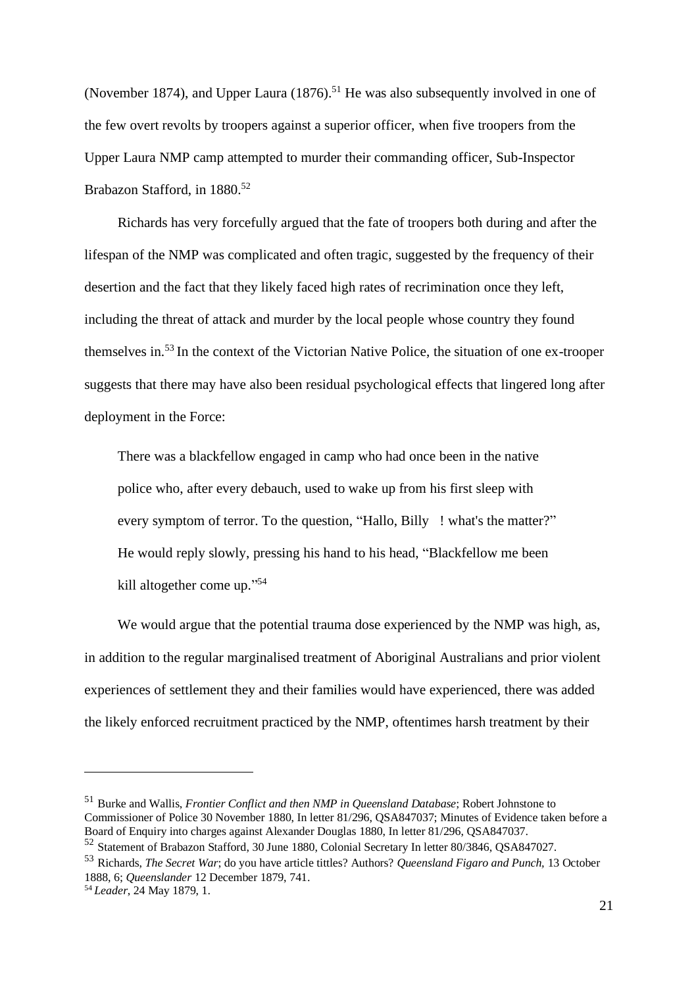(November 1874), and Upper Laura (1876). <sup>51</sup> He was also subsequently involved in one of the few overt revolts by troopers against a superior officer, when five troopers from the Upper Laura NMP camp attempted to murder their commanding officer, Sub-Inspector Brabazon Stafford, in 1880.<sup>52</sup>

Richards has very forcefully argued that the fate of troopers both during and after the lifespan of the NMP was complicated and often tragic, suggested by the frequency of their desertion and the fact that they likely faced high rates of recrimination once they left, including the threat of attack and murder by the local people whose country they found themselves in.<sup>53</sup> In the context of the Victorian Native Police, the situation of one ex-trooper suggests that there may have also been residual psychological effects that lingered long after deployment in the Force:

There was a blackfellow engaged in camp who had once been in the native police who, after every debauch, used to wake up from his first sleep with every symptom of terror. To the question, "Hallo, Billy ! what's the matter?" He would reply slowly, pressing his hand to his head, "Blackfellow me been kill altogether come up." 54

We would argue that the potential trauma dose experienced by the NMP was high, as, in addition to the regular marginalised treatment of Aboriginal Australians and prior violent experiences of settlement they and their families would have experienced, there was added the likely enforced recruitment practiced by the NMP, oftentimes harsh treatment by their

<sup>51</sup> Burke and Wallis, *Frontier Conflict and then NMP in Queensland Database*; Robert Johnstone to Commissioner of Police 30 November 1880, In letter 81/296, QSA847037; Minutes of Evidence taken before a Board of Enquiry into charges against Alexander Douglas 1880, In letter 81/296, QSA847037.

<sup>52</sup> Statement of Brabazon Stafford, 30 June 1880, Colonial Secretary In letter 80/3846, QSA847027.

<sup>53</sup> Richards, *The Secret War*; do you have article tittles? Authors? *Queensland Figaro and Punch,* 13 October 1888, 6; *Queenslander* 12 December 1879, 741.

<sup>54</sup> *Leader*, 24 May 1879, 1.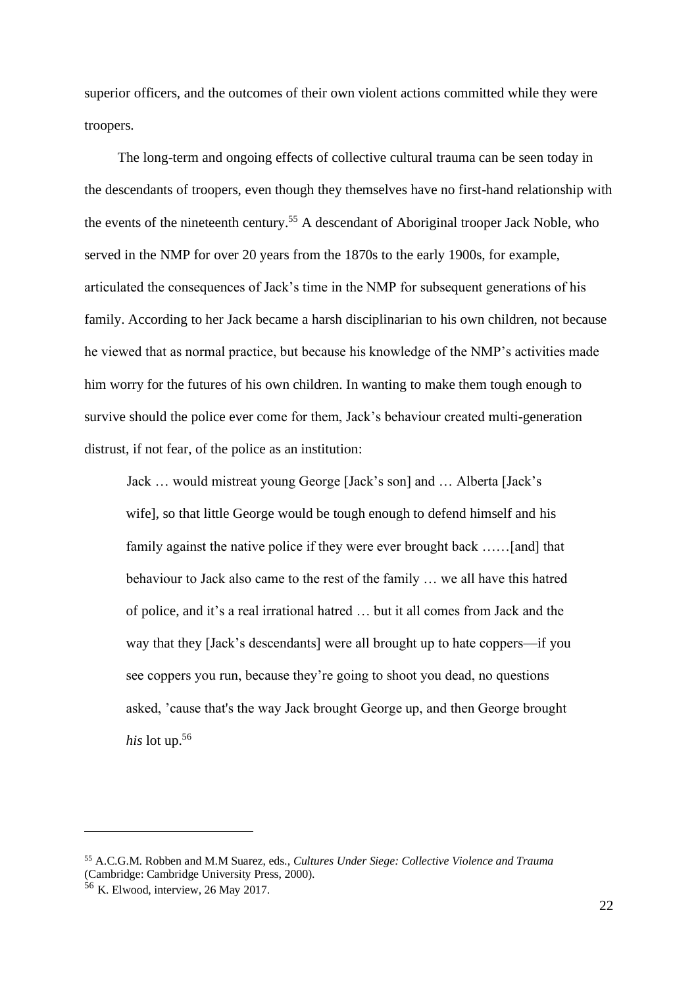superior officers, and the outcomes of their own violent actions committed while they were troopers.

The long-term and ongoing effects of collective cultural trauma can be seen today in the descendants of troopers, even though they themselves have no first-hand relationship with the events of the nineteenth century.<sup>55</sup> A descendant of Aboriginal trooper Jack Noble, who served in the NMP for over 20 years from the 1870s to the early 1900s, for example, articulated the consequences of Jack's time in the NMP for subsequent generations of his family. According to her Jack became a harsh disciplinarian to his own children, not because he viewed that as normal practice, but because his knowledge of the NMP's activities made him worry for the futures of his own children. In wanting to make them tough enough to survive should the police ever come for them, Jack's behaviour created multi-generation distrust, if not fear, of the police as an institution:

Jack … would mistreat young George [Jack's son] and … Alberta [Jack's wife], so that little George would be tough enough to defend himself and his family against the native police if they were ever brought back ……[and] that behaviour to Jack also came to the rest of the family … we all have this hatred of police, and it's a real irrational hatred … but it all comes from Jack and the way that they [Jack's descendants] were all brought up to hate coppers—if you see coppers you run, because they're going to shoot you dead, no questions asked, 'cause that's the way Jack brought George up, and then George brought *his* lot up.<sup>56</sup>

<sup>55</sup> A.C.G.M. Robben and M.M Suarez, eds., *Cultures Under Siege: Collective Violence and Trauma* (Cambridge: Cambridge University Press, 2000).

<sup>56</sup> K. Elwood, interview, 26 May 2017.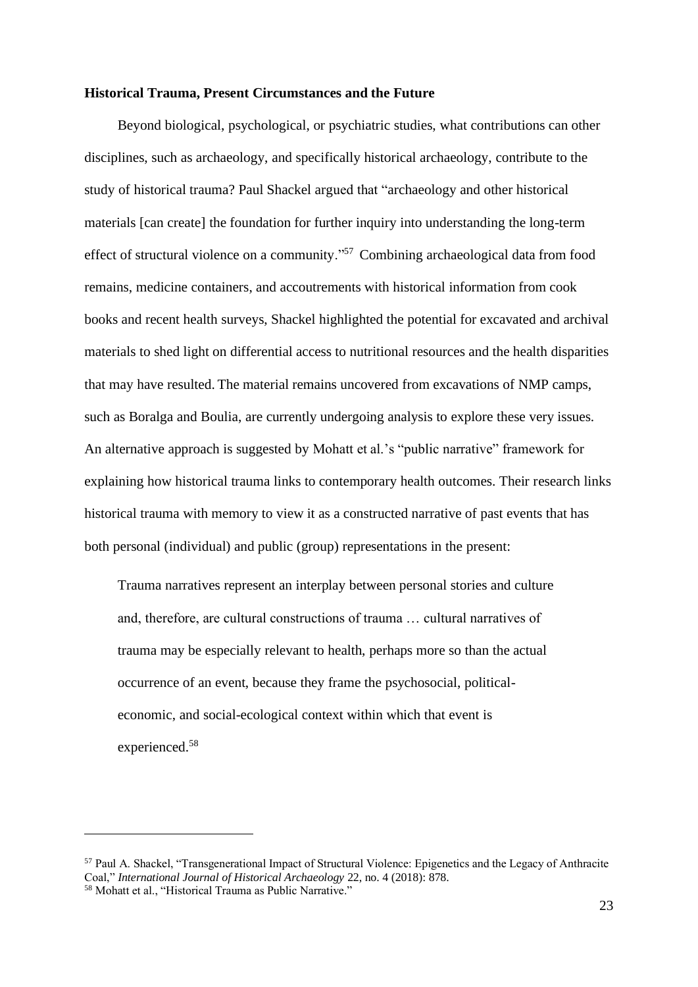#### **Historical Trauma, Present Circumstances and the Future**

Beyond biological, psychological, or psychiatric studies, what contributions can other disciplines, such as archaeology, and specifically historical archaeology, contribute to the study of historical trauma? Paul Shackel argued that "archaeology and other historical materials [can create] the foundation for further inquiry into understanding the long-term effect of structural violence on a community."<sup>57</sup> Combining archaeological data from food remains, medicine containers, and accoutrements with historical information from cook books and recent health surveys, Shackel highlighted the potential for excavated and archival materials to shed light on differential access to nutritional resources and the health disparities that may have resulted. The material remains uncovered from excavations of NMP camps, such as Boralga and Boulia, are currently undergoing analysis to explore these very issues. An alternative approach is suggested by Mohatt et al.'s "public narrative" framework for explaining how historical trauma links to contemporary health outcomes. Their research links historical trauma with memory to view it as a constructed narrative of past events that has both personal (individual) and public (group) representations in the present:

Trauma narratives represent an interplay between personal stories and culture and, therefore, are cultural constructions of trauma … cultural narratives of trauma may be especially relevant to health, perhaps more so than the actual occurrence of an event, because they frame the psychosocial, politicaleconomic, and social-ecological context within which that event is experienced.<sup>58</sup>

<sup>57</sup> Paul A. Shackel, "Transgenerational Impact of Structural Violence: Epigenetics and the Legacy of Anthracite Coal," *International Journal of Historical Archaeology* 22, no. 4 (2018): 878. <sup>58</sup> Mohatt et al., "Historical Trauma as Public Narrative."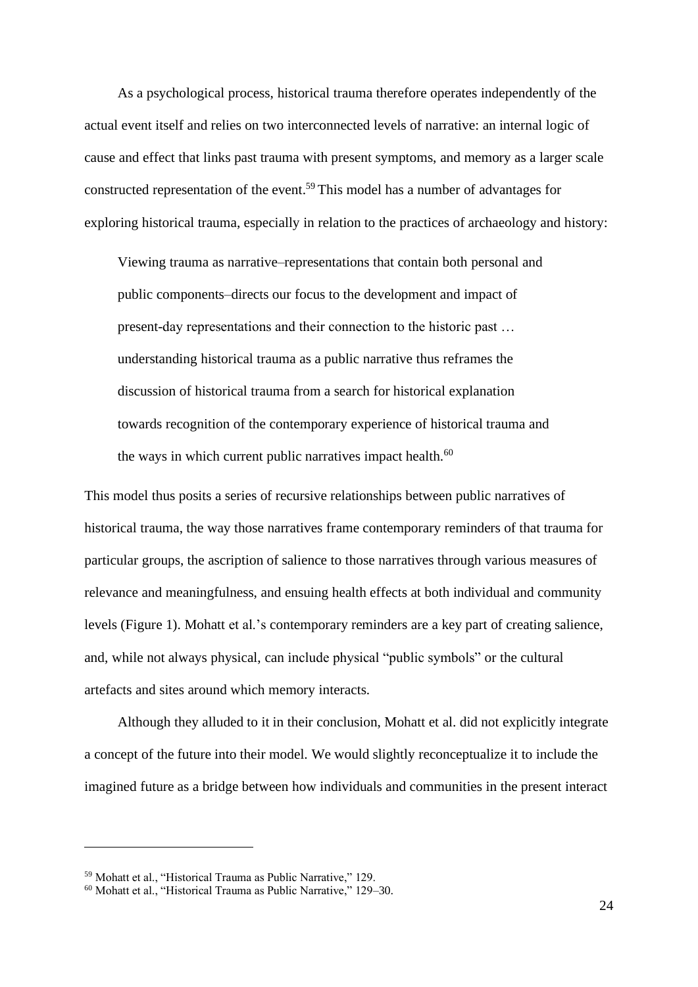As a psychological process, historical trauma therefore operates independently of the actual event itself and relies on two interconnected levels of narrative: an internal logic of cause and effect that links past trauma with present symptoms, and memory as a larger scale constructed representation of the event. <sup>59</sup> This model has a number of advantages for exploring historical trauma, especially in relation to the practices of archaeology and history:

Viewing trauma as narrative–representations that contain both personal and public components–directs our focus to the development and impact of present-day representations and their connection to the historic past … understanding historical trauma as a public narrative thus reframes the discussion of historical trauma from a search for historical explanation towards recognition of the contemporary experience of historical trauma and the ways in which current public narratives impact health. $60$ 

This model thus posits a series of recursive relationships between public narratives of historical trauma, the way those narratives frame contemporary reminders of that trauma for particular groups, the ascription of salience to those narratives through various measures of relevance and meaningfulness, and ensuing health effects at both individual and community levels (Figure 1). Mohatt et al.'s contemporary reminders are a key part of creating salience, and, while not always physical, can include physical "public symbols" or the cultural artefacts and sites around which memory interacts.

Although they alluded to it in their conclusion, Mohatt et al. did not explicitly integrate a concept of the future into their model. We would slightly reconceptualize it to include the imagined future as a bridge between how individuals and communities in the present interact

<sup>59</sup> Mohatt et al., "Historical Trauma as Public Narrative," 129.

<sup>60</sup> Mohatt et al., "Historical Trauma as Public Narrative," 129–30.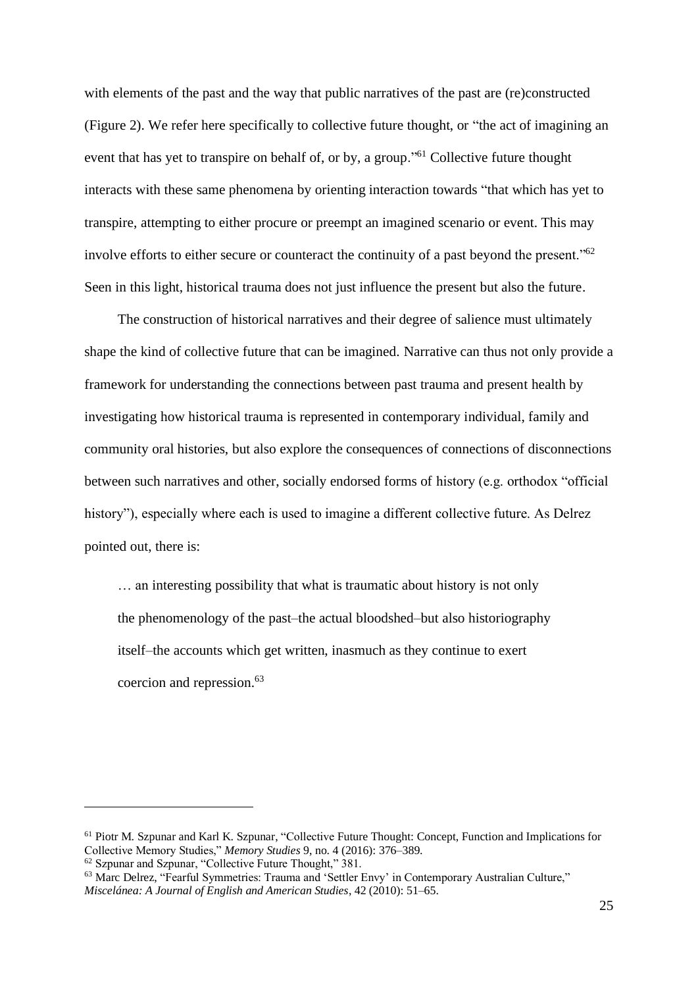with elements of the past and the way that public narratives of the past are (re)constructed (Figure 2). We refer here specifically to collective future thought, or "the act of imagining an event that has yet to transpire on behalf of, or by, a group.<sup>561</sup> Collective future thought interacts with these same phenomena by orienting interaction towards "that which has yet to transpire, attempting to either procure or preempt an imagined scenario or event. This may involve efforts to either secure or counteract the continuity of a past beyond the present."<sup>62</sup> Seen in this light, historical trauma does not just influence the present but also the future.

The construction of historical narratives and their degree of salience must ultimately shape the kind of collective future that can be imagined. Narrative can thus not only provide a framework for understanding the connections between past trauma and present health by investigating how historical trauma is represented in contemporary individual, family and community oral histories, but also explore the consequences of connections of disconnections between such narratives and other, socially endorsed forms of history (e.g. orthodox "official history"), especially where each is used to imagine a different collective future. As Delrez pointed out, there is:

… an interesting possibility that what is traumatic about history is not only the phenomenology of the past–the actual bloodshed–but also historiography itself–the accounts which get written, inasmuch as they continue to exert coercion and repression.<sup>63</sup>

<sup>61</sup> Piotr M. Szpunar and Karl K. Szpunar, "Collective Future Thought: Concept, Function and Implications for Collective Memory Studies," *Memory Studies* 9, no. 4 (2016): 376–389.

<sup>62</sup> Szpunar and Szpunar, "Collective Future Thought," 381.

<sup>63</sup> Marc Delrez, "Fearful Symmetries: Trauma and 'Settler Envy' in Contemporary Australian Culture," *Miscelánea: A Journal of English and American Studies*, 42 (2010): 51–65.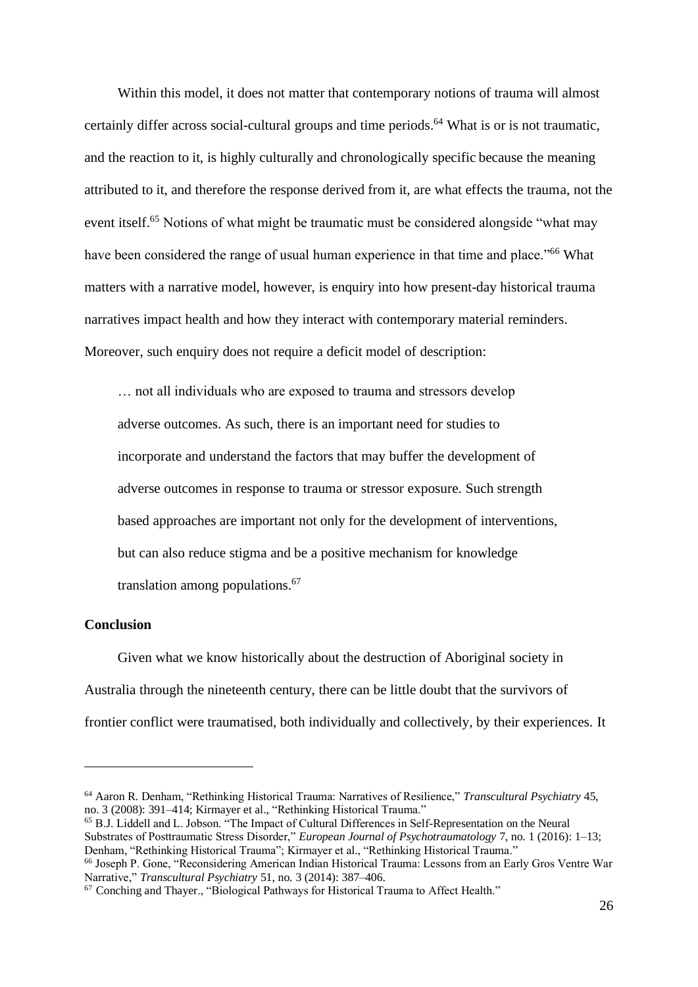Within this model, it does not matter that contemporary notions of trauma will almost certainly differ across social-cultural groups and time periods. <sup>64</sup> What is or is not traumatic, and the reaction to it, is highly culturally and chronologically specific because the meaning attributed to it, and therefore the response derived from it, are what effects the trauma, not the event itself.<sup>65</sup> Notions of what might be traumatic must be considered alongside "what may have been considered the range of usual human experience in that time and place."<sup>66</sup> What matters with a narrative model, however, is enquiry into how present-day historical trauma narratives impact health and how they interact with contemporary material reminders. Moreover, such enquiry does not require a deficit model of description:

… not all individuals who are exposed to trauma and stressors develop adverse outcomes. As such, there is an important need for studies to incorporate and understand the factors that may buffer the development of adverse outcomes in response to trauma or stressor exposure. Such strength based approaches are important not only for the development of interventions, but can also reduce stigma and be a positive mechanism for knowledge translation among populations.<sup>67</sup>

## **Conclusion**

Given what we know historically about the destruction of Aboriginal society in Australia through the nineteenth century, there can be little doubt that the survivors of frontier conflict were traumatised, both individually and collectively, by their experiences. It

<sup>64</sup> Aaron R. Denham, "Rethinking Historical Trauma: Narratives of Resilience," *Transcultural Psychiatry* 45, no. 3 (2008): 391–414; Kirmayer et al., "Rethinking Historical Trauma."

<sup>65</sup> B.J. Liddell and L. Jobson. "The Impact of Cultural Differences in Self-Representation on the Neural Substrates of Posttraumatic Stress Disorder," *European Journal of Psychotraumatology* 7, no. 1 (2016): 1–13; Denham, "Rethinking Historical Trauma"; Kirmayer et al., "Rethinking Historical Trauma."

<sup>66</sup> Joseph P. Gone, "Reconsidering American Indian Historical Trauma: Lessons from an Early Gros Ventre War Narrative," *Transcultural Psychiatry* 51, no. 3 (2014): 387–406.

<sup>&</sup>lt;sup>67</sup> Conching and Thayer., "Biological Pathways for Historical Trauma to Affect Health."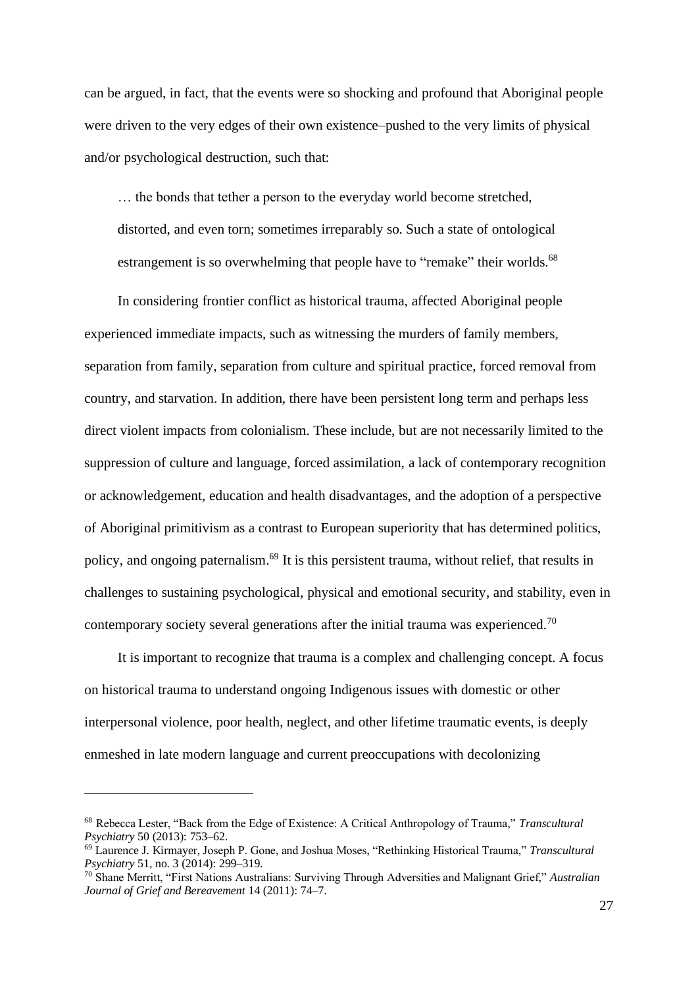can be argued, in fact, that the events were so shocking and profound that Aboriginal people were driven to the very edges of their own existence–pushed to the very limits of physical and/or psychological destruction, such that:

… the bonds that tether a person to the everyday world become stretched, distorted, and even torn; sometimes irreparably so. Such a state of ontological estrangement is so overwhelming that people have to "remake" their worlds.<sup>68</sup>

In considering frontier conflict as historical trauma, affected Aboriginal people experienced immediate impacts, such as witnessing the murders of family members, separation from family, separation from culture and spiritual practice, forced removal from country, and starvation. In addition, there have been persistent long term and perhaps less direct violent impacts from colonialism. These include, but are not necessarily limited to the suppression of culture and language, forced assimilation, a lack of contemporary recognition or acknowledgement, education and health disadvantages, and the adoption of a perspective of Aboriginal primitivism as a contrast to European superiority that has determined politics, policy, and ongoing paternalism.<sup>69</sup> It is this persistent trauma, without relief, that results in challenges to sustaining psychological, physical and emotional security, and stability, even in contemporary society several generations after the initial trauma was experienced.<sup>70</sup>

It is important to recognize that trauma is a complex and challenging concept. A focus on historical trauma to understand ongoing Indigenous issues with domestic or other interpersonal violence, poor health, neglect, and other lifetime traumatic events, is deeply enmeshed in late modern language and current preoccupations with decolonizing

<sup>68</sup> Rebecca Lester, "Back from the Edge of Existence: A Critical Anthropology of Trauma," *Transcultural Psychiatry* 50 (2013): 753–62.

<sup>69</sup> Laurence J. Kirmayer, Joseph P. Gone, and Joshua Moses, "Rethinking Historical Trauma," *Transcultural Psychiatry* 51, no. 3 (2014): 299–319.

<sup>70</sup> Shane Merritt, "First Nations Australians: Surviving Through Adversities and Malignant Grief," *Australian Journal of Grief and Bereavement* 14 (2011): 74–7.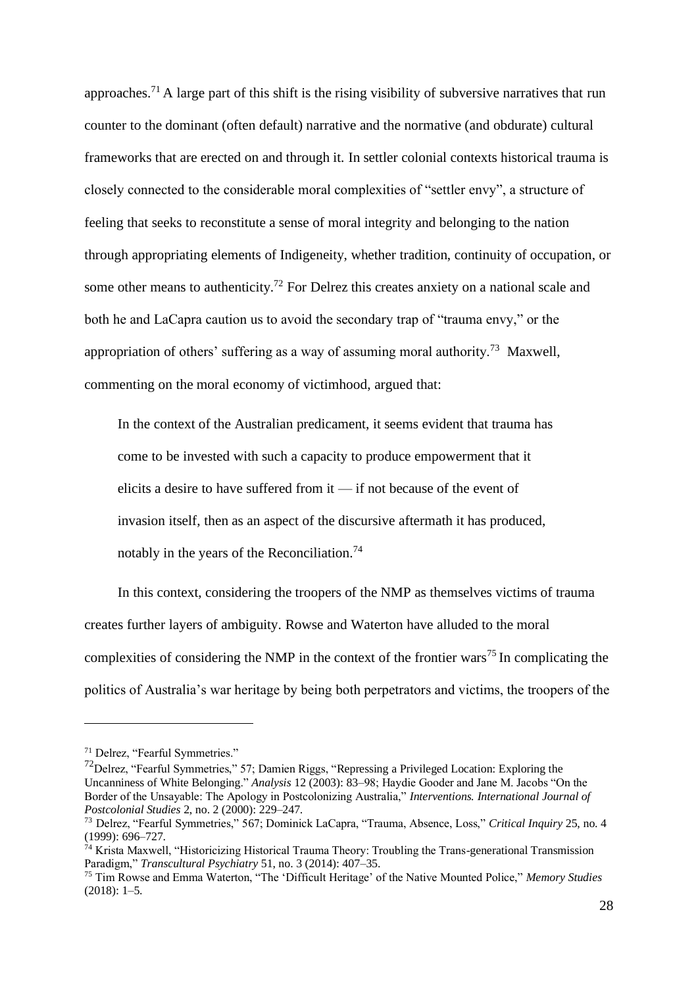approaches.<sup>71</sup> A large part of this shift is the rising visibility of subversive narratives that run counter to the dominant (often default) narrative and the normative (and obdurate) cultural frameworks that are erected on and through it. In settler colonial contexts historical trauma is closely connected to the considerable moral complexities of "settler envy", a structure of feeling that seeks to reconstitute a sense of moral integrity and belonging to the nation through appropriating elements of Indigeneity, whether tradition, continuity of occupation, or some other means to authenticity.<sup>72</sup> For Delrez this creates anxiety on a national scale and both he and LaCapra caution us to avoid the secondary trap of "trauma envy," or the appropriation of others' suffering as a way of assuming moral authority.<sup>73</sup> Maxwell, commenting on the moral economy of victimhood, argued that:

In the context of the Australian predicament, it seems evident that trauma has come to be invested with such a capacity to produce empowerment that it elicits a desire to have suffered from it — if not because of the event of invasion itself, then as an aspect of the discursive aftermath it has produced, notably in the years of the Reconciliation.<sup>74</sup>

In this context, considering the troopers of the NMP as themselves victims of trauma creates further layers of ambiguity. Rowse and Waterton have alluded to the moral complexities of considering the NMP in the context of the frontier wars<sup>75</sup> In complicating the politics of Australia's war heritage by being both perpetrators and victims, the troopers of the

<sup>71</sup> Delrez, "Fearful Symmetries."

<sup>&</sup>lt;sup>72</sup>Delrez, "Fearful Symmetries," 57; Damien Riggs, "Repressing a Privileged Location: Exploring the Uncanniness of White Belonging." *Analysis* 12 (2003): 83–98; Haydie Gooder and Jane M. Jacobs "On the Border of the Unsayable: The Apology in Postcolonizing Australia," *Interventions. International Journal of Postcolonial Studies* 2, no. 2 (2000): 229–247.

<sup>73</sup> Delrez, "Fearful Symmetries," 567; Dominick LaCapra, "Trauma, Absence, Loss," *Critical Inquiry* 25, no. 4 (1999): 696–727.

<sup>&</sup>lt;sup>74</sup> Krista Maxwell, "Historicizing Historical Trauma Theory: Troubling the Trans-generational Transmission Paradigm," *Transcultural Psychiatry* 51, no. 3 (2014): 407–35.

<sup>75</sup> Tim Rowse and Emma Waterton, "The 'Difficult Heritage' of the Native Mounted Police," *Memory Studies* (2018): 1–5.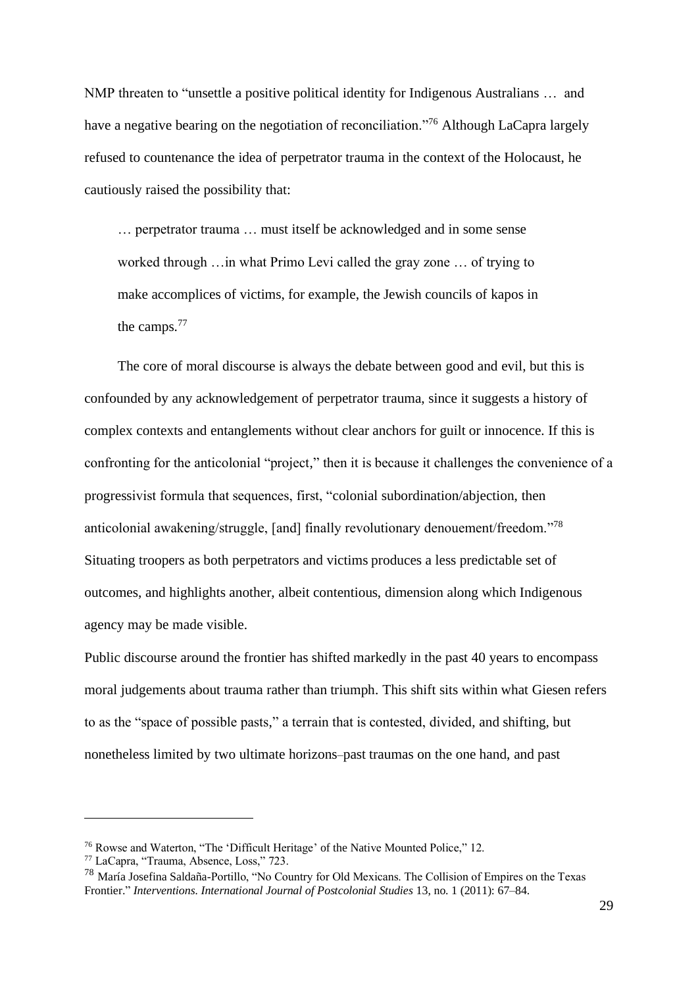NMP threaten to "unsettle a positive political identity for Indigenous Australians … and have a negative bearing on the negotiation of reconciliation.<sup>776</sup> Although LaCapra largely refused to countenance the idea of perpetrator trauma in the context of the Holocaust, he cautiously raised the possibility that:

… perpetrator trauma … must itself be acknowledged and in some sense worked through …in what Primo Levi called the gray zone … of trying to make accomplices of victims, for example, the Jewish councils of kapos in the camps.<sup>77</sup>

The core of moral discourse is always the debate between good and evil, but this is confounded by any acknowledgement of perpetrator trauma, since it suggests a history of complex contexts and entanglements without clear anchors for guilt or innocence. If this is confronting for the anticolonial "project," then it is because it challenges the convenience of a progressivist formula that sequences, first, "colonial subordination/abjection, then anticolonial awakening/struggle, [and] finally revolutionary denouement/freedom."<sup>78</sup> Situating troopers as both perpetrators and victims produces a less predictable set of outcomes, and highlights another, albeit contentious, dimension along which Indigenous agency may be made visible.

Public discourse around the frontier has shifted markedly in the past 40 years to encompass moral judgements about trauma rather than triumph. This shift sits within what Giesen refers to as the "space of possible pasts," a terrain that is contested, divided, and shifting, but nonetheless limited by two ultimate horizons–past traumas on the one hand, and past

<sup>76</sup> Rowse and Waterton, "The 'Difficult Heritage' of the Native Mounted Police," 12.

<sup>77</sup> LaCapra, "Trauma, Absence, Loss," 723.

<sup>78</sup> María Josefina Saldaña-Portillo, "No Country for Old Mexicans. The Collision of Empires on the Texas Frontier." *Interventions. International Journal of Postcolonial Studies* 13, no. 1 (2011): 67–84.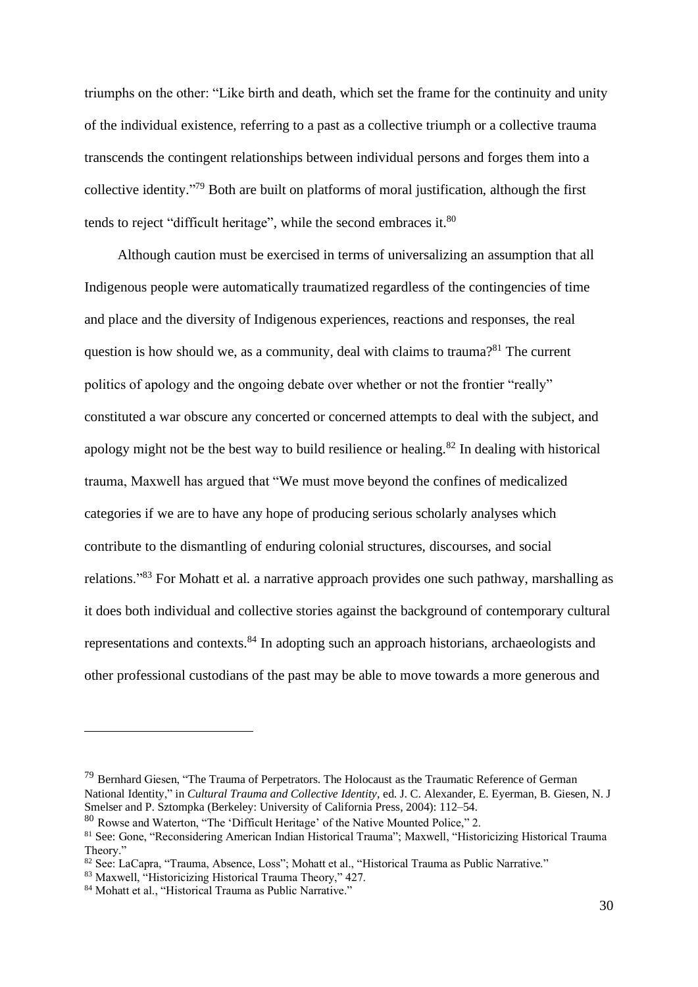triumphs on the other: "Like birth and death, which set the frame for the continuity and unity of the individual existence, referring to a past as a collective triumph or a collective trauma transcends the contingent relationships between individual persons and forges them into a collective identity." <sup>79</sup> Both are built on platforms of moral justification, although the first tends to reject "difficult heritage", while the second embraces it.<sup>80</sup>

Although caution must be exercised in terms of universalizing an assumption that all Indigenous people were automatically traumatized regardless of the contingencies of time and place and the diversity of Indigenous experiences, reactions and responses, the real question is how should we, as a community, deal with claims to trauma?<sup>81</sup> The current politics of apology and the ongoing debate over whether or not the frontier "really" constituted a war obscure any concerted or concerned attempts to deal with the subject, and apology might not be the best way to build resilience or healing. $82$  In dealing with historical trauma, Maxwell has argued that "We must move beyond the confines of medicalized categories if we are to have any hope of producing serious scholarly analyses which contribute to the dismantling of enduring colonial structures, discourses, and social relations."<sup>83</sup> For Mohatt et al. a narrative approach provides one such pathway, marshalling as it does both individual and collective stories against the background of contemporary cultural representations and contexts.<sup>84</sup> In adopting such an approach historians, archaeologists and other professional custodians of the past may be able to move towards a more generous and

<sup>&</sup>lt;sup>79</sup> Bernhard Giesen, "The Trauma of Perpetrators. The Holocaust as the Traumatic Reference of German National Identity," in *Cultural Trauma and Collective Identity*, ed. J. C. Alexander, E. Eyerman, B. Giesen, N. J Smelser and P. Sztompka (Berkeley: University of California Press, 2004): 112–54.

<sup>80</sup> Rowse and Waterton, "The 'Difficult Heritage' of the Native Mounted Police," 2.

<sup>81</sup> See: Gone, "Reconsidering American Indian Historical Trauma"; Maxwell, "Historicizing Historical Trauma Theory."

<sup>82</sup> See: LaCapra, "Trauma, Absence, Loss"; Mohatt et al., "Historical Trauma as Public Narrative."

<sup>83</sup> Maxwell, "Historicizing Historical Trauma Theory," 427.

<sup>84</sup> Mohatt et al., "Historical Trauma as Public Narrative."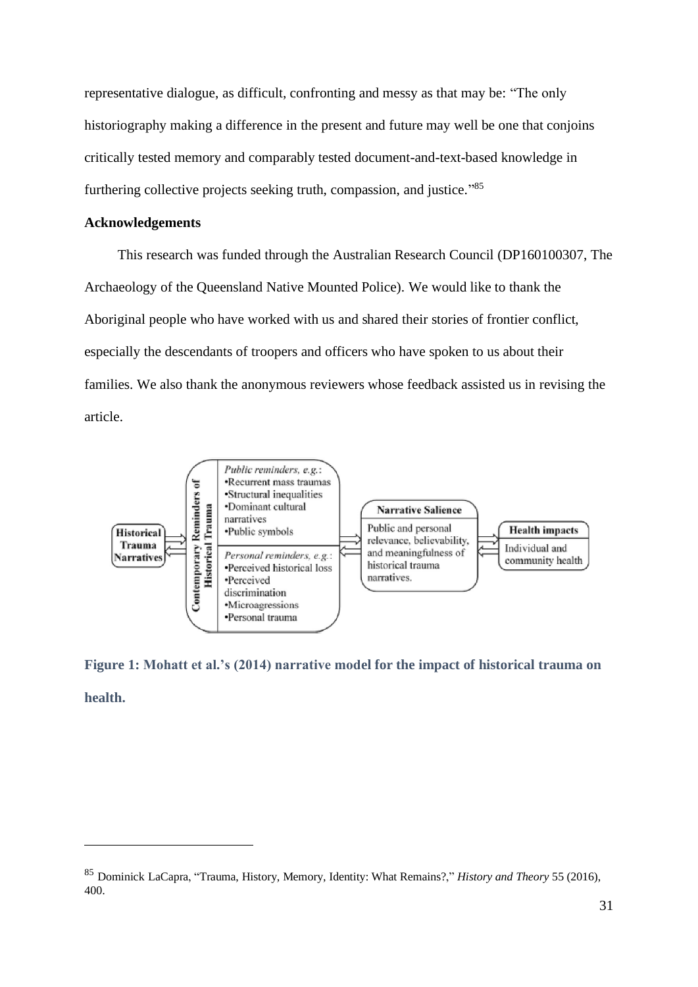representative dialogue, as difficult, confronting and messy as that may be: "The only historiography making a difference in the present and future may well be one that conjoins critically tested memory and comparably tested document-and-text-based knowledge in furthering collective projects seeking truth, compassion, and justice."<sup>85</sup>

#### **Acknowledgements**

This research was funded through the Australian Research Council (DP160100307, The Archaeology of the Queensland Native Mounted Police). We would like to thank the Aboriginal people who have worked with us and shared their stories of frontier conflict, especially the descendants of troopers and officers who have spoken to us about their families. We also thank the anonymous reviewers whose feedback assisted us in revising the article.



**Figure 1: Mohatt et al.'s (2014) narrative model for the impact of historical trauma on health.**

<sup>85</sup> Dominick LaCapra, "Trauma, History, Memory, Identity: What Remains?," *History and Theory* 55 (2016), 400.